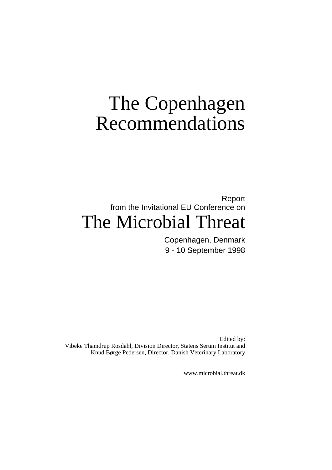# The Copenhagen Recommendations

# Report from the Invitational EU Conference on The Microbial Threat

Copenhagen, Denmark 9 - 10 September 1998

Edited by: Vibeke Thamdrup Rosdahl, Division Director, Statens Serum Institut and Knud Børge Pedersen, Director, Danish Veterinary Laboratory

www.microbial.threat.dk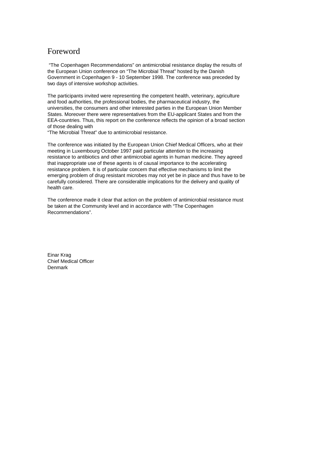# Foreword

 "The Copenhagen Recommendations" on antimicrobial resistance display the results of the European Union conference on "The Microbial Threat" hosted by the Danish Government in Copenhagen 9 - 10 September 1998. The conference was preceded by two days of intensive workshop activities.

The participants invited were representing the competent health, veterinary, agriculture and food authorities, the professional bodies, the pharmaceutical industry, the universities, the consumers and other interested parties in the European Union Member States. Moreover there were representatives from the EU-applicant States and from the EEA-countries. Thus, this report on the conference reflects the opinion of a broad section of those dealing with

"The Microbial Threat" due to antimicrobial resistance.

The conference was initiated by the European Union Chief Medical Officers, who at their meeting in Luxembourg October 1997 paid particular attention to the increasing resistance to antibiotics and other antimicrobial agents in human medicine. They agreed that inappropriate use of these agents is of causal importance to the accelerating resistance problem. It is of particular concern that effective mechanisms to limit the emerging problem of drug resistant microbes may not yet be in place and thus have to be carefully considered. There are considerable implications for the delivery and quality of health care.

The conference made it clear that action on the problem of antimicrobial resistance must be taken at the Community level and in accordance with "The Copenhagen Recommendations".

Einar Krag Chief Medical Officer Denmark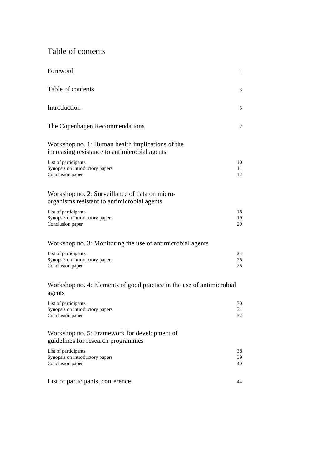# Table of contents

| Foreword                                                                                          | $\mathbf{1}$   |
|---------------------------------------------------------------------------------------------------|----------------|
| Table of contents                                                                                 | 3              |
| Introduction                                                                                      | 5              |
| The Copenhagen Recommendations                                                                    | 7              |
| Workshop no. 1: Human health implications of the<br>increasing resistance to antimicrobial agents |                |
| List of participants<br>Synopsis on introductory papers<br>Conclusion paper                       | 10<br>11<br>12 |
| Workshop no. 2: Surveillance of data on micro-<br>organisms resistant to antimicrobial agents     |                |
| List of participants<br>Synopsis on introductory papers<br>Conclusion paper                       | 18<br>19<br>20 |
| Workshop no. 3: Monitoring the use of antimicrobial agents                                        |                |
| List of participants<br>Synopsis on introductory papers<br>Conclusion paper                       | 24<br>25<br>26 |
| Workshop no. 4: Elements of good practice in the use of antimicrobial<br>agents                   |                |
| List of participants<br>Synopsis on introductory papers<br>Conclusion paper                       | 30<br>31<br>32 |
| Workshop no. 5: Framework for development of<br>guidelines for research programmes                |                |
| List of participants<br>Synopsis on introductory papers<br>Conclusion paper                       | 38<br>39<br>40 |
| List of participants, conference                                                                  | 44             |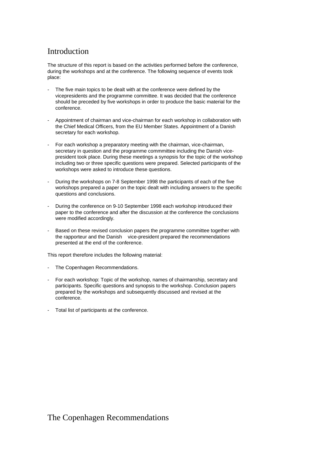# Introduction

The structure of this report is based on the activities performed before the conference, during the workshops and at the conference. The following sequence of events took place:

- The five main topics to be dealt with at the conference were defined by the vicepresidents and the programme committee. It was decided that the conference should be preceded by five workshops in order to produce the basic material for the conference.
- Appointment of chairman and vice-chairman for each workshop in collaboration with the Chief Medical Officers, from the EU Member States. Appointment of a Danish secretary for each workshop.
- For each workshop a preparatory meeting with the chairman, vice-chairman, secretary in question and the programme commmittee including the Danish vicepresident took place. During these meetings a synopsis for the topic of the workshop including two or three specific questions were prepared. Selected participants of the workshops were asked to introduce these questions.
- During the workshops on 7-8 September 1998 the participants of each of the five workshops prepared a paper on the topic dealt with including answers to the specific questions and conclusions.
- During the conference on 9-10 September 1998 each workshop introduced their paper to the conference and after the discussion at the conference the conclusions were modified accordingly.
- Based on these revised conclusion papers the programme committee together with the rapporteur and the Danish vice-president prepared the recommendations presented at the end of the conference.

This report therefore includes the following material:

- The Copenhagen Recommendations.
- For each workshop: Topic of the workshop, names of chairmanship, secretary and participants. Specific questions and synopsis to the workshop. Conclusion papers prepared by the workshops and subsequently discussed and revised at the conference.
- Total list of participants at the conference.

The Copenhagen Recommendations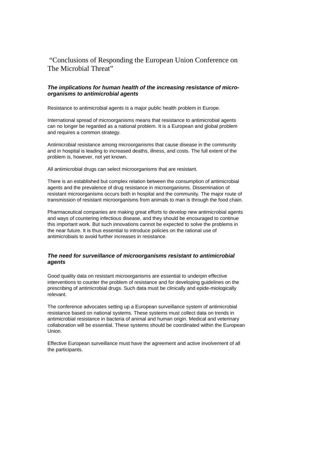"Conclusions of Responding the European Union Conference on The Microbial Threat"

#### *The implications for human health of the increasing resistance of microorganisms to antimicrobial agents*

Resistance to antimicrobial agents is a major public health problem in Europe.

International spread of microorganisms means that resistance to antimicrobial agents can no longer be regarded as a national problem. It is a European and global problem and requires a common strategy.

Antimicrobial resistance among microorganisms that cause disease in the community and in hospital is leading to increased deaths, illness, and costs. The full extent of the problem is, however, not yet known.

All antimicrobial drugs can select microorganisms that are resistant.

There is an established but complex relation between the consumption of antimicrobial agents and the prevalence of drug resistance in microorganisms. Dissemination of resistant microorganisms occurs both in hospital and the community. The major route of transmission of resistant microorganisms from animals to man is through the food chain.

Pharmaceutical companies are making great efforts to develop new antimicrobial agents and ways of countering infectious disease, and they should be encouraged to continue this important work. But such innovations cannot be expected to solve the problems in the near future. It is thus essential to introduce policies on the rational use of antimicrobials to avoid further increases in resistance.

#### *The need for surveillance of microorganisms resistant to antimicrobial agents*

Good quality data on resistant microorganisms are essential to underpin effective interventions to counter the problem of resistance and for developing guidelines on the prescribing of antimicrobial drugs. Such data must be clinically and epide-miologically relevant.

The conference advocates setting up a European surveillance system of antimicrobial resistance based on national systems. These systems must collect data on trends in antimicrobial resistance in bacteria of animal and human origin. Medical and veterinary collaboration will be essential. These systems should be coordinated within the European Union.

Effective European surveillance must have the agreement and active involvement of all the participants.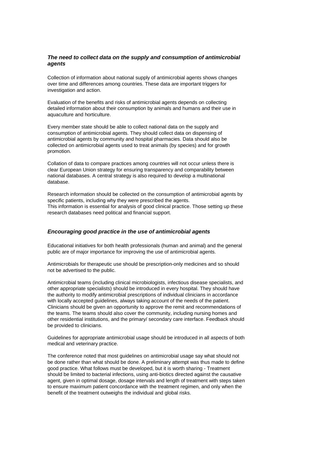#### *The need to collect data on the supply and consumption of antimicrobial agents*

Collection of information about national supply of antimicrobial agents shows changes over time and differences among countries. These data are important triggers for investigation and action.

Evaluation of the benefits and risks of antimicrobial agents depends on collecting detailed information about their consumption by animals and humans and their use in aquaculture and horticulture.

Every member state should be able to collect national data on the supply and consumption of antimicrobial agents. They should collect data on dispensing of antimicrobial agents by community and hospital pharmacies. Data should also be collected on antimicrobial agents used to treat animals (by species) and for growth promotion.

Collation of data to compare practices among countries will not occur unless there is clear European Union strategy for ensuring transparency and comparability between national databases. A central strategy is also required to develop a multinational database.

Research information should be collected on the consumption of antimicrobial agents by specific patients, including why they were prescribed the agents. This information is essential for analysis of good clinical practice. Those setting up these research databases need political and financial support.

#### *Encouraging good practice in the use of antimicrobial agents*

Educational initiatives for both health professionals (human and animal) and the general public are of major importance for improving the use of antimicrobial agents.

Antimicrobials for therapeutic use should be prescription-only medicines and so should not be advertised to the public.

Antimicrobial teams (including clinical microbiologists, infectious disease specialists, and other appropriate specialists) should be introduced in every hospital. They should have the authority to modify antimicrobial prescriptions of individual clinicians in accordance with locally accepted guidelines, always taking account of the needs of the patient. Clinicians should be given an opportunity to approve the remit and recommendations of the teams. The teams should also cover the community, including nursing homes and other residential institutions, and the primary/ secondary care interface. Feedback should be provided to clinicians.

Guidelines for appropriate antimicrobial usage should be introduced in all aspects of both medical and veterinary practice.

The conference noted that most guidelines on antimicrobial usage say what should not be done rather than what should be done. A preliminary attempt was thus made to define good practice. What follows must be developed, but it is worth sharing - Treatment should be limited to bacterial infections, using anti-biotics directed against the causative agent, given in optimal dosage, dosage intervals and length of treatment with steps taken to ensure maximum patient concordance with the treatment regimen, and only when the benefit of the treatment outweighs the individual and global risks.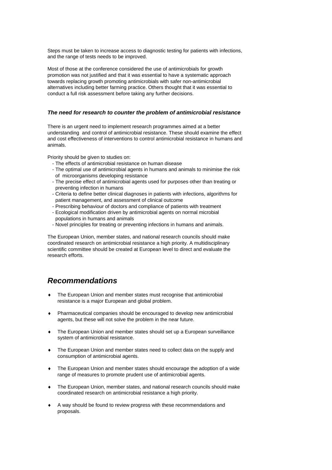Steps must be taken to increase access to diagnostic testing for patients with infections, and the range of tests needs to be improved.

Most of those at the conference considered the use of antimicrobials for growth promotion was not justified and that it was essential to have a systematic approach towards replacing growth promoting antimicrobials with safer non-antimicrobial alternatives including better farming practice. Others thought that it was essential to conduct a full risk assessment before taking any further decisions.

#### *The need for research to counter the problem of antimicrobial resistance*

There is an urgent need to implement research programmes aimed at a better understanding and control of antimicrobial resistance. These should examine the effect and cost effectiveness of interventions to control antimicrobial resistance in humans and animals.

Priority should be given to studies on:

- The effects of antimicrobial resistance on human disease
- The optimal use of antimicrobial agents in humans and animals to minimise the risk of microorganisms developing resistance
- The precise effect of antimicrobial agents used for purposes other than treating or preventing infection in humans
- Criteria to define better clinical diagnoses in patients with infections, algorithms for patient management, and assessment of clinical outcome
- Prescribing behaviour of doctors and compliance of patients with treatment
- Ecological modification driven by antimicrobial agents on normal microbial populations in humans and animals
- Novel principles for treating or preventing infections in humans and animals.

The European Union, member states, and national research councils should make coordinated research on antimicrobial resistance a high priority. A multidisciplinary scientific committee should be created at European level to direct and evaluate the research efforts.

# *Recommendations*

- The European Union and member states must recognise that antimicrobial resistance is a major European and global problem.
- Pharmaceutical companies should be encouraged to develop new antimicrobial agents, but these will not solve the problem in the near future.
- The European Union and member states should set up a European surveillance system of antimicrobial resistance.
- The European Union and member states need to collect data on the supply and consumption of antimicrobial agents.
- The European Union and member states should encourage the adoption of a wide range of measures to promote prudent use of antimicrobial agents.
- The European Union, member states, and national research councils should make coordinated research on antimicrobial resistance a high priority.
- A way should be found to review progress with these recommendations and proposals.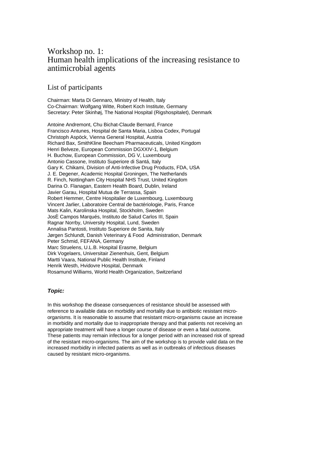# Workshop no. 1: Human health implications of the increasing resistance to antimicrobial agents

### List of participants

Chairman: Marta Di Gennaro, Ministry of Health, Italy Co-Chairman: Wolfgang Witte, Robert Koch Institute, Germany Secretary: Peter Skinhøj, The National Hospital (Rigshospitalet), Denmark

Antoine Andremont, Chu Bichat-Claude Bernard, France Francisco Antunes, Hospital de Santa Maria, Lisboa Codex, Portugal Christoph Aspöck, Vienna General Hospital, Austria Richard Bax, SmithKline Beecham Pharmaceuticals, United Kingdom Henri Belveze, European Commission DGXXIV-1, Belgium H. Buchow, European Commission, DG V, Luxembourg Antonio Cassone, Instituto Superiore di Santá, Italy Gary K. Chikami, Division of Anti-Infective Drug Products, FDA, USA J. E. Degener, Academic Hospital Groningen, The Netherlands R. Finch, Nottingham City Hospital NHS Trust, United Kingdom Darina O. Flanagan, Eastern Health Board, Dublin, Ireland Javier Garau, Hospital Mutua de Terrassa, Spain Robert Hemmer, Centre Hospitalier de Luxembourg, Luxembourg Vincent Jarlier, Laboratoire Central de bactériologie, Paris, France Mats Kalin, Karolinska Hospital, Stockholm, Sweden JosÈ Campos Marqués, Instituto de Salud Carlos III, Spain Ragnar Norrby, University Hospital, Lund, Sweden Annalisa Pantosti, Instituto Superiore de Sanita, Italy Jørgen Schlundt, Danish Veterinary & Food Administration, Denmark Peter Schmid, FEFANA, Germany Marc Struelens, U.L.B. Hospital Erasme, Belgium Dirk Vogelaers, Universitair Zienenhuis, Gent, Belgium Martti Vaara, National Public Health Institute, Finland Henrik Westh, Hvidovre Hospital, Denmark Rosamund Williams, World Health Organization, Switzerland

### *Topic:*

In this workshop the disease consequences of resistance should be assessed with reference to available data on morbidity and mortality due to antibiotic resistant microorganisms. It is reasonable to assume that resistant micro-organisms cause an increase in morbidity and mortality due to inappropriate therapy and that patients not receiving an appropriate treatment will have a longer course of disease or even a fatal outcome. These patients may remain infectious for a longer period with an increased risk of spread of the resistant micro-organisms. The aim of the workshop is to provide valid data on the increased morbidity in infected patients as well as in outbreaks of infectious diseases caused by resistant micro-organisms.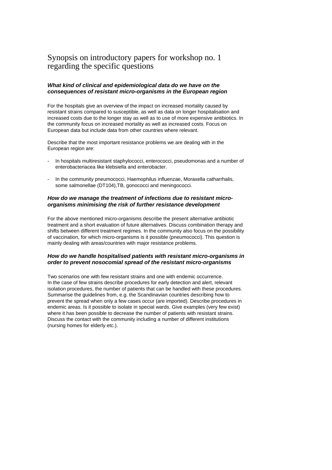# Synopsis on introductory papers for workshop no. 1 regarding the specific questions

#### *What kind of clinical and epidemiological data do we have on the consequences of resistant micro-organisms in the European region*

For the hospitals give an overview of the impact on increased mortality caused by resistant strains compared to susceptible, as well as data on longer hospitalisation and increased costs due to the longer stay as well as to use of more expensive antibiotics. In the community focus on increased mortality as well as increased costs. Focus on European data but include data from other countries where relevant.

Describe that the most important resistance problems we are dealing with in the European region are:

- In hospitals multiresistant staphylococci, enterococci, pseudomonas and a number of enterobacteriacea like klebsiella and enterobacter.
- In the community pneumococci, Haemophilus influenzae, Moraxella catharrhalis, some salmonellae (DT104),TB, gonococci and meningococci.

#### *How do we manage the treatment of infections due to resistant microorganisms minimising the risk of further resistance development*

For the above mentioned micro-organisms describe the present alternative antibiotic treatment and a short evaluation of future alternatives. Discuss combination therapy and shifts between different treatment regimes. In the community also focus on the possibility of vaccination, for which micro-organisms is it possible (pneumococci). This question is mainly dealing with areas/countries with major resistance problems.

#### *How do we handle hospitalised patients with resistant micro-organisms in order to prevent nosocomial spread of the resistant micro-organisms*

Two scenarios one with few resistant strains and one with endemic occurrence. In the case of few strains describe procedures for early detection and alert, relevant isolation procedures, the number of patients that can be handled with these procedures. Summarise the guidelines from, e.g. the Scandinavian countries describing how to prevent the spread when only a few cases occur (are imported). Describe procedures in endemic areas. Is it possible to isolate in special wards. Give examples (very few exist) where it has been possible to decrease the number of patients with resistant strains. Discuss the contact with the community including a number of different institutions (nursing homes for elderly etc.).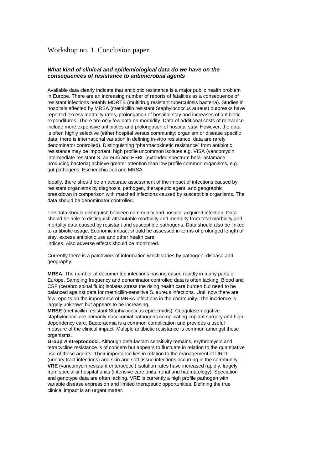### Workshop no. 1. Conclusion paper

#### *What kind of clinical and epidemiological data do we have on the consequences of resistance to antimicrobial agents*

Available data clearly indicate that antibiotic resistance is a major public health problem in Europe. There are an increasing number of reports of fatalities as a consequence of resistant infections notably MDRTB (multidrug resistant tuberculosis bacteria). Studies in hospitals affected by MRSA (methicillin resistant Staphylococcus aureus) outbreaks have reported excess mortality rates, prolongation of hospital stay and increases of antibiotic expenditures. There are only few data on morbidity. Data of additional costs of relevance include more expensive antibiotics and prolongation of hospital stay. However, the data is often highly selective (either hospital versus community; organism or disease specific data; there is international variation in defining in-vitro resistance; data are rarely denominator controlled). Distinguishing "pharmacokinetic resistance" from antibiotic resistance may be important; high profile uncommon isolates e.g. VISA (vancomycin intermediate resistant S. aureus) and ESBL (extended spectrum beta-lactamace producing bacteria) achieve greater attention than low profile common organisms, e.g. gut pathogens, Escherichia coli and MRSA.

Ideally, there should be an accurate assessment of the impact of infections caused by resistant organisms by diagnosis, pathogen, therapeutic agent, and geographic breakdown in comparison with matched infections caused by susceptible organisms. The data should be denominator controlled.

The data should distinguish between community and hospital acquired infection. Data should be able to distinguish attributable morbidity and mortality from total morbidity and mortality data caused by resistant and susceptible pathogens. Data should also be linked to antibiotic usage. Economic impact should be assessed in terms of prolonged length of stay, excess antibiotic use and other health care indices. Also adverse effects should be monitored.

Currently there is a patchwork of information which varies by pathogen, disease and geography.

**MRSA**. The number of documented infections has increased rapidly in many parts of Europe. Sampling frequency and denominator controlled data is often lacking. Blood and CSF (cerebro spinal fluid) isolates stress the rising health care burden but need to be balanced against data for methicillin-sensitive S. aureus infections. Until now there are few reports on the importance of MRSA infections in the community. The incidence is largely unknown but appears to be increasing.

**MRSE** (methicillin resistant Staphylococcus epidermidis). Coagulase-negative staphylococci are primarily nosocomial pathogens complicating implant surgery and highdependency care. Bacteraemia is a common complication and provides a useful measure of the clinical impact. Multiple antibiotic resistance is common amongst these organisms

**Group A streptococci.** Although beta-lactam sensitivity remains, erythromycin and tetracycline resistance is of concern but appears to fluctuate in relation to the quantitative use of these agents. Their importance lies in relation to the management of URTI (urinary tract infections) and skin and soft tissue infections occurring in the community. **VRE** (vancomycin resistant enterococci) isolation rates have increased rapidly, largely from specialist hospital units (intensive care units, renal and haematology). Speciation and genotype data are often lacking. VRE is currently a high profile pathogen with variable disease expression and limited therapeutic opportunities. Defining the true clinical impact is an urgent matter.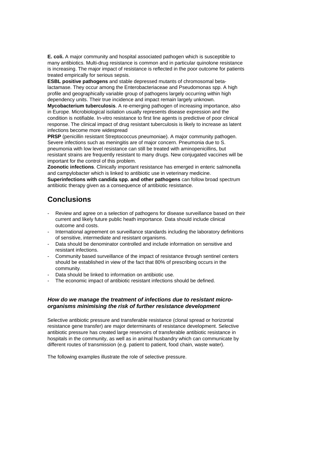**E. coli.** A major community and hospital associated pathogen which is susceptible to many antibiotics. Multi-drug resistance is common and in particular quinolone resistance is increasing. The major impact of resistance is reflected in the poor outcome for patients treated empirically for serious sepsis.

**ESBL positive pathogens** and stable depressed mutants of chromosomal betalactamase. They occur among the Enterobacteriaceae and Pseudomonas spp. A high profile and geographically variable group of pathogens largely occurring within high dependency units. Their true incidence and impact remain largely unknown.

**Mycobacterium tuberculosis**. A re-emerging pathogen of increasing importance, also in Europe. Microbiological isolation usually represents disease expression and the condition is notifiable. In-vitro resistance to first line agents is predictive of poor clinical response. The clinical impact of drug resistant tuberculosis is likely to increase as latent infections become more widespread

**PRSP** (penicillin resistant Streptococcus pneumoniae). A major community pathogen. Severe infections such as meningitis are of major concern. Pneumonia due to S. pneumonia with low level resistance can still be treated with aminopenicillins, but resistant strains are frequently resistant to many drugs. New conjugated vaccines will be important for the control of this problem.

**Zoonotic infections**. Clinically important resistance has emerged in enteric salmonella and campylobacter which is linked to antibiotic use in veterinary medicine.

**Superinfections with candida spp. and other pathogens** can follow broad spectrum antibiotic therapy given as a consequence of antibiotic resistance.

# **Conclusions**

- Review and agree on a selection of pathogens for disease surveillance based on their current and likely future public heath importance. Data should include clinical outcome and costs.
- International agreement on surveillance standards including the laboratory definitions of sensitive, intermediate and resistant organisms.
- Data should be denominator controlled and include information on sensitive and resistant infections.
- Community based surveillance of the impact of resistance through sentinel centers should be established in view of the fact that 80% of prescribing occurs in the community.
- Data should be linked to information on antibiotic use.
- The economic impact of antibiotic resistant infections should be defined.

#### *How do we manage the treatment of infections due to resistant microorganisms minimising the risk of further resistance development*

Selective antibiotic pressure and transferable resistance (clonal spread or horizontal resistance gene transfer) are major determinants of resistance development. Selective antibiotic pressure has created large reservoirs of transferable antibiotic resistance in hospitals in the community, as well as in animal husbandry which can communicate by different routes of transmission (e.g. patient to patient, food chain, waste water).

The following examples illustrate the role of selective pressure.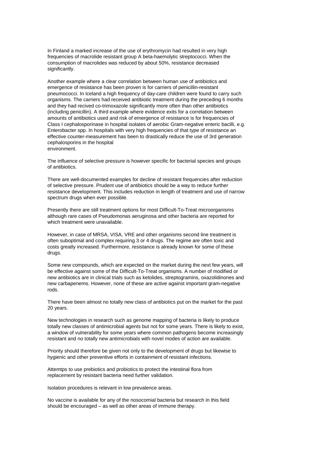In Finland a marked increase of the use of erythromycin had resulted in very high frequencies of macrolide resistant group A beta-haemolytic streptococci. When the consumption of macrolides was reduced by about 50%, resistance decreased significantly.

Another example where a clear correlation between human use of antibiotics and emergence of resistance has been proven is for carriers of penicillin-resistant pneumococci. In Iceland a high frequency of day-care children were found to carry such organisms. The carriers had received antibiotic treatment during the preceding 6 months and they had recived co-trimoxazole significantly more often than other antibiotics (including penicillin). A third example where evidence exits for a correlation between amounts of antibiotics used and risk of emergence of resistance is for frequencies of Class I cephalosporinase in hospital isolates of aerobic Gram-negative enteric bacilli, e.g. Enterobacter spp. In hospitals with very high frequencies of that type of resistance an effective counter-measurement has been to drastically reduce the use of 3rd generation cephalosporins in the hospital environment.

The influence of selective pressure is however specific for bacterial species and groups of antibiotics.

There are well-documented examples for decline of resistant frequencies after reduction of selective pressure. Prudent use of antibiotics should be a way to reduce further resistance development. This includes reduction in length of treatment and use of narrow spectrum drugs when ever possible.

Presently there are still treatment options for most Difficult-To-Treat microorganisms although rare cases of Pseudomonas aeruginosa and other bacteria are reported for which treatment were unavailable.

However, in case of MRSA, VISA, VRE and other organisms second line treatment is often suboptimal and complex requiring 3 or 4 drugs. The regime are often toxic and costs greatly increased. Furthermore, resistance is already known for some of these drugs.

Some new compounds, which are expected on the market during the next few years, will be effective against some of the Difficult-To-Treat organisms. A number of modified or new antibiotics are in clinical trials such as ketolides, streptogramins, oxazolidinones and new carbapenems. However, none of these are active against important gram-negative rods.

There have been almost no totally new class of antibiotics put on the market for the past 20 years.

New technologies in research such as genome mapping of bacteria is likely to produce totally new classes of antimicrobial agents but not for some years. There is likely to exist, a window of vulnerability for some years where common pathogens become increasingly resistant and no totally new antimicrobials with novel modes of action are available.

Priority should therefore be given not only to the development of drugs but likewise to hygienic and other preventive efforts in containment of resistant infections.

Attemtps to use prebiotics and probiotics to protect the intestinal flora from replacement by resistant bacteria need further validation.

Isolation procedures is relevant in low prevalence areas.

No vaccine is available for any of the nosocomial bacteria but research in this field should be encouraged – as well as other areas of immune therapy.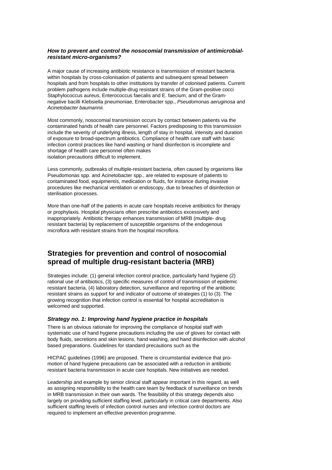#### *How to prevent and control the nosocomial transmission of antimicrobialresistant micro-organisms?*

A major cause of increasing antibiotic resistance is transmission of resistant bacteria within hospitals by cross-colonisation of patients and subsequent spread between hospitals and from hospitals to other institutions by transfer of colonised patients. Current problem pathogens include multiple-drug resistant strains of the Gram-positive cocci Staphylococcus aureus, Enterococcus faecalis and E. faecium; and of the Gramnegative bacilli Klebsiella pneumoniae, Enterobacter spp., *Pseudomonas aeruginosa* and *Acinetobacter baumannii.*

Most commonly, nosocomial transmission occurs by contact between patients via the contaminated hands of health care personnel. Factors predisposing to this transmission include the severity of underlying illness, length of stay in hospital, intensity and duration of exposure to broad-spectrum antibiotics. Compliance of health care staff with basic infection control practices like hand washing or hand disinfection is incomplete and shortage of health care personnel often makes isolation precautions difficult to implement.

Less commonly, outbreaks of multiple-resistant bacteria, often caused by organisms like Pseudomonas spp. and Acinetobacter spp., are related to exposure of patients to contaminated food, equipmentís, medication or fluids, for instance during invasive procedures like mechanical ventilation or endoscopy, due to breaches of disinfection or sterilisation processes.

More than one-half of the patients in acute care hospitals receive antibiotics for therapy or prophylaxis. Hospital physicians often prescribe antibiotics excessively and inappropriately. Antibiotic therapy enhances transmission of MRB (multiple- drug resistant bacteria) by replacement of susceptible organisms of the endogenous microflora with resistant strains from the hospital microflora.

# **Strategies for prevention and control of nosocomial spread of multiple drug-resistant bacteria (MRB)**

Strategies include: (1) general infection control practice, particularly hand hygiene (2) rational use of antibiotics, (3) specific measures of control of transmission of epidemic resistant bacteria, (4) laboratory detection, surveillance and reporting of the antibiotic resistant strains as support for and indicator of outcome of strategies (1) to (3). The growing recognition that infection control is essential for hospital accreditation is welcomed and supported.

#### *Strategy no. 1: Improving hand hygiene practice in hospitals*

There is an obvious rationale for improving the compliance of hospital staff with systematic use of hand hygiene precautions including the use of gloves for contact with body fluids, secretions and skin lesions, hand washing, and hand disinfection with alcohol based preparations. Guidelines for standard precautions such as the

HICPAC guidelines (1996) are proposed. There is circumstantial evidence that promotion of hand hygiene precautions can be associated with a reduction in antibiotic resistant bacteria transmission in acute care hospitals. New initiatives are needed.

Leadership and example by senior clinical staff appear important in this regard, as well as assigning responsibility to the health care team by feedback of surveillance on trends in MRB transmission in their own wards. The feasibility of this strategy depends also largely on providing sufficient staffing level, particularly in critical care departments. Also sufficient staffing levels of infection control nurses and infection control doctors are required to implement an effective prevention programme.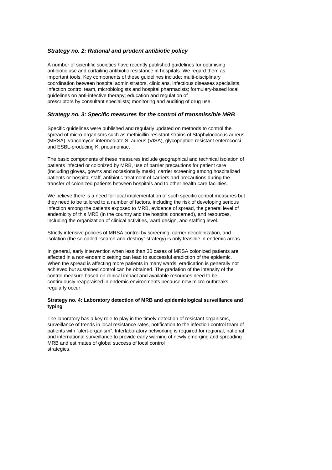#### *Strategy no. 2: Rational and prudent antibiotic policy*

A number of scientific societies have recently published guidelines for optimising antibiotic use and curtailing antibiotic resistance in hospitals. We regard them as important tools. Key components of these guidelines include: multi-disciplinary coordination between hospital administrators, clinicians, infectious diseases specialists, infection control team, microbiologists and hospital pharmacists; formulary-based local guidelines on anti-infective therapy; education and regulation of prescriptors by consultant specialists; monitoring and auditing of drug use.

#### *Strategy no. 3: Specific measures for the control of transmissible MRB*

Specific guidelines were published and regularly updated on methods to control the spread of micro-organisms such as methicillin-resistant strains of Staphylococcus aureus (MRSA), vancomycin intermediate S. aureus (VISA), glycopeptide-resistant enterococci and ESBL-producing K. pneumoniae.

The basic components of these measures include geographical and technical isolation of patients infected or colonized by MRB, use of barrier precautions for patient care (including gloves, gowns and occasionally mask), carrier screening among hospitalized patients or hospital staff, antibiotic treatment of carriers and precautions during the transfer of colonized patients between hospitals and to other health care facilities.

We believe there is a need for local implementation of such specific control measures but they need to be tailored to a number of factors, including the risk of developing serious infection among the patients exposed to MRB, evidence of spread, the general level of endemicity of this MRB (in the country and the hospital concerned), and resources, including the organization of clinical activities, ward design, and staffing level.

Strictly intensive policies of MRSA control by screening, carrier decolonization, and isolation (the so-called "search-and-destroy" strategy) is only feasible in endemic areas.

In general, early intervention when less than 30 cases of MRSA colonized patients are affected in a non-endemic setting can lead to successful eradiction of the epidemic. When the spread is affecting more patients in many wards, eradication is generally not achieved but sustained control can be obtained. The gradation of the intensity of the control measure based on clinical impact and available resources need to be continuously reappraised in endemic environments because new micro-outbreaks regularly occur.

#### **Strategy no. 4: Laboratory detection of MRB and epidemiological surveillance and typing**

The laboratory has a key role to play in the timely detection of resistant organisms, surveillance of trends in local resistance rates, notification to the infection control team of patients with "alert-organism". Interlaboratory networking is required for regional, national and international surveillance to provide early warning of newly emerging and spreading MRB and estimates of global success of local control strategies.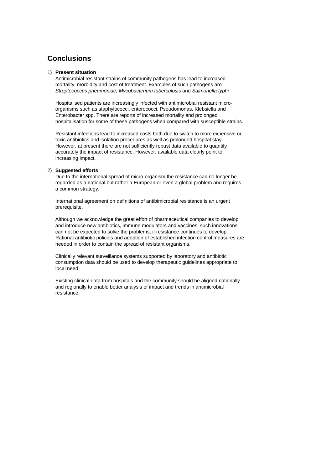# **Conclusions**

#### 1) **Present situation**

 Antimicrobial resistant strains of community pathogens has lead to increased mortality, morbidity and cost of treatment. Examples of such pathogens are *Streptococcus pneumoniae, Mycobacterium tuberculosis* and *Salmonella typhi.*

 Hospitalised patients are increasingly infected with antimicrobial resistant microorganisms such as staphylococci, enterococci, Pseudomonas, Klebsiella and Enterobacter spp. There are reports of increased mortality and prolonged hospitalisation for some of these pathogens when compared with susceptible strains.

 Resistant infections lead to increased costs both due to switch to more expensive or toxic antibiotics and isolation procedures as well as prolonged hospital stay. However, at present there are not sufficiently robust data available to quantify accurately the impact of resistance. However, available data clearly point to increasing impact.

#### 2) **Suggested efforts**

 Due to the international spread of micro-organism the resistance can no longer be regarded as a national but rather a European or even a global problem and requires a common strategy.

 International agreement on definitions of antibimicrobial resistance is an urgent prerequisite.

 Although we acknowledge the great effort of pharmaceutical companies to develop and introduce new antibiotics, immune modulators and vaccines, such innovations can not be expected to solve the problems, if resistance continues to develop. Rational antibiotic policies and adoption of established infection control measures are needed in order to contain the spread of resistant organisms.

 Clinically relevant surveillance systems supported by laboratory and antibiotic consumption data should be used to develop therapeutic guidelines appropriate to local need.

 Existing clinical data from hospitals and the community should be aligned nationally and regionally to enable better analysis of impact and trends in antimicrobial resistance.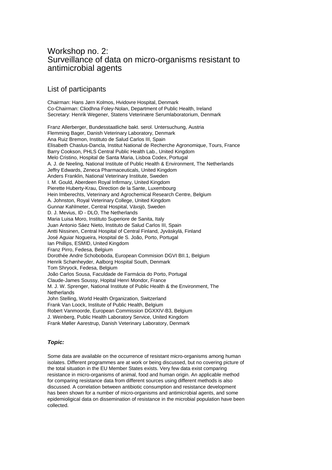# Workshop no. 2: Surveillance of data on micro-organisms resistant to antimicrobial agents

## List of participants

Chairman: Hans Jørn Kolmos, Hvidovre Hospital, Denmark Co-Chairman: Cliodhna Foley-Nolan, Department of Public Health, Ireland Secretary: Henrik Wegener, Statens Veterinære Serumlaboratorium, Denmark Franz Allerberger, Bundesstaatliche bakt. serol. Untersuchung, Austria Flemming Bager, Danish Veterinary Laboratory, Denmark Ana Ruiz Bremon, Instituto de Salud Carlos III, Spain Elisabeth Chaslus-Dancla, Institut National de Recherche Agronomique, Tours, France Barry Cookson, PHLS Central Public Health Lab., United Kingdom Melo Cristino, Hospital de Santa Maria, Lisboa Codex, Portugal A. J. de Neeling, National Institute of Public Health & Environment, The Netherlands Jeffry Edwards, Zeneca Pharmaceuticals, United Kingdom Anders Franklin, National Veterinary Institute, Sweden I. M. Gould, Aberdeen Royal Infirmary, United Kingdom Pierette Huberty-Krau, Direction de la Sante, Luxembourg Hein Imberechts, Veterinary and Agrochemical Research Centre, Belgium A. Johnston, Royal Veterinary College, United Kingdom Gunnar Kahlmeter, Central Hospital, Växsjö, Sweden D. J. Mevius, ID - DLO, The Netherlands Maria Luisa Moro, Instituto Superiore de Sanita, Italy Juan Antonio Sáez Nieto, Instituto de Salud Carlos III, Spain Antti Nissinen, Central Hospital of Central Finland, Jyväskylä, Finland José Aguiar Nogueira, Hospital de S. João, Porto, Portugal Ian Phillips, ESMID, United Kingdom Franz Pirro, Fedesa, Belgium Dorothée Andre Schoboboda, European Commision DGVI BII.1, Belgium Henrik Schønheyder, Aalborg Hospital South, Denmark Tom Shryock, Fedesa, Belgium João Carlos Sousa, Faculdade de Farmácia do Porto, Portugal Claude-James Soussy, Hopital Henri Mondor, France M. J. W. Sprenger, National Institute of Public Health & the Environment, The Netherlands John Stelling, World Health Organization, Switzerland Frank Van Loock, Institute of Public Health, Belgium Robert Vanmoorde, European Commission DGXXIV-B3, Belgium J. Weinberg, Public Health Laboratory Service, United Kingdom Frank Møller Aarestrup, Danish Veterinary Laboratory, Denmark

### *Topic:*

Some data are available on the occurrence of resistant micro-organisms among human isolates. Different programmes are at work or being discussed, but no covering picture of the total situation in the EU Member States exists. Very few data exist comparing resistance in micro-organisms of animal, food and human origin. An applicable method for comparing resistance data from different sources using different methods is also discussed. A correlation between antibiotic consumption and resistance development has been shown for a number of micro-organisms and antimicrobial agents, and some epidemioligical data on dissemination of resistance in the microbial population have been collected.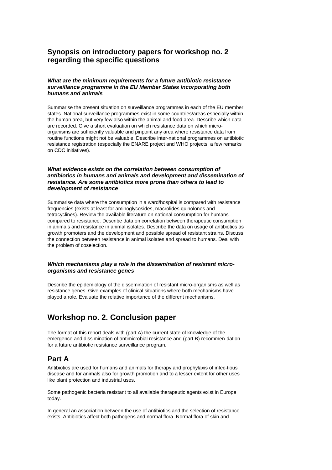### **Synopsis on introductory papers for workshop no. 2 regarding the specific questions**

#### *What are the minimum requirements for a future antibiotic resistance surveillance programme in the EU Member States incorporating both humans and animals*

Summarise the present situation on surveillance programmes in each of the EU member states. National surveillance programmes exist in some countries/areas especially within the human area, but very few also within the animal and food area. Describe which data are recorded. Give a short evaluation on which resistance data on which microorganisms are sufficiently valuable and pinpoint any area where resistance data from routine functions might not be valuable. Describe inter-national programmes on antibiotic resistance registration (especially the ENARE project and WHO projects, a few remarks on CDC initiatives).

#### *What evidence exists on the correlation between consumption of antibiotics in humans and animals and development and dissemination of resistance. Are some antibiotics more prone than others to lead to development of resistance*

Summarise data where the consumption in a ward/hospital is compared with resistance frequencies (exists at least for aminoglycosides, macrolides quinolones and tetracyclines). Review the available literature on national consumption for humans compared to resistance. Describe data on correlation between therapeutic consumption in animals and resistance in animal isolates. Describe the data on usage of antibiotics as growth promoters and the development and possible spread of resistant strains. Discuss the connection between resistance in animal isolates and spread to humans. Deal with the problem of coselection.

#### *Which mechanisms play a role in the dissemination of resistant microorganisms and resistance genes*

Describe the epidemiology of the dissemination of resistant micro-organisms as well as resistance genes. Give examples of clinical situations where both mechanisms have played a role. Evaluate the relative importance of the different mechanisms.

# **Workshop no. 2. Conclusion paper**

The format of this report deals with (part A) the current state of knowledge of the emergence and dissimination of antimicrobial resistance and (part B) recommen-dation for a future antibiotic resistance surveillance program.

# **Part A**

Antibiotics are used for humans and animals for therapy and prophylaxis of infec-tious disease and for animals also for growth promotion and to a lesser extent for other uses like plant protection and industrial uses.

Some pathogenic bacteria resistant to all available therapeutic agents exist in Europe today.

In general an association between the use of antibiotics and the selection of resistance exists. Antibiotics affect both pathogens and normal flora. Normal flora of skin and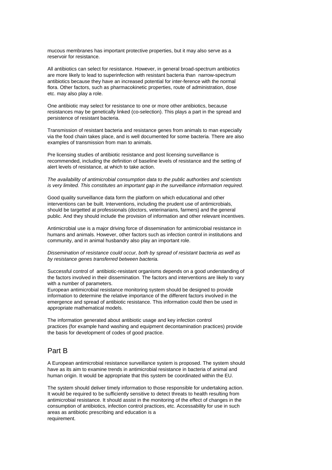mucous membranes has important protective properties, but it may also serve as a reservoir for resistance.

All antibiotics can select for resistance. However, in general broad-spectrum antibiotics are more likely to lead to superinfection with resistant bacteria than narrow-spectrum antibiotics because they have an increased potential for inter-ference with the normal flora. Other factors, such as pharmacokinetic properties, route of administration, dose etc. may also play a role.

One antibiotic may select for resistance to one or more other antibiotics, because resistances may be genetically linked (co-selection). This plays a part in the spread and persistence of resistant bacteria.

Transmission of resistant bacteria and resistance genes from animals to man especially via the food chain takes place, and is well documented for some bacteria. There are also examples of transmission from man to animals.

Pre licensing studies of antibiotic resistance and post licensing surveillance is recommended, including the definition of baseline levels of resistance and the setting of alert levels of resistance, at which to take action.

#### *The availability of antimicrobial consumption data to the public authorities and scientists*  is very limited. This constitutes an important gap in the surveillance information required.

Good quality surveillance data form the platform on which educational and other interventions can be built. Interventions, including the prudent use of antimicrobials, should be targetted at professionals (doctors, veterinarians, farmers) and the general public. And they should include the provision of information and other relevant incentives.

Antimicrobial use is a major driving force of dissemination for antimicrobial resistance in humans and animals. However, other factors such as infection control in institutions and community, and in animal husbandry also play an important role.

*Dissemination of resistance could occur, both by spread of resistant bacteria as well as by resistance genes transferred between bacteria.* 

Successful control of antibiotic-resistant organisms depends on a good understanding of the factors involved in their dissemination. The factors and interventions are likely to vary with a number of parameters.

European antimicrobial resistance monitoring system should be designed to provide information to determine the relative importance of the different factors involved in the emergence and spread of antibiotic resistance. This information could then be used in appropriate mathematical models.

The information generated about antibiotic usage and key infection control practices (for example hand washing and equipment decontamination practices) provide the basis for development of codes of good practice.

### Part B

A European antimicrobial resistance surveillance system is proposed. The system should have as its aim to examine trends in antimicrobial resistance in bacteria of animal and human origin. It would be appropriate that this system be coordinated within the EU.

The system should deliver timely information to those responsible for undertaking action. It would be required to be sufficiently sensitive to detect threats to health resulting from antimicrobial resistance. It should assist in the monitoring of the effect of changes in the consumption of antibiotics, infection control practices, etc. Accessability for use in such areas as antibiotic prescribing and education is a requirement.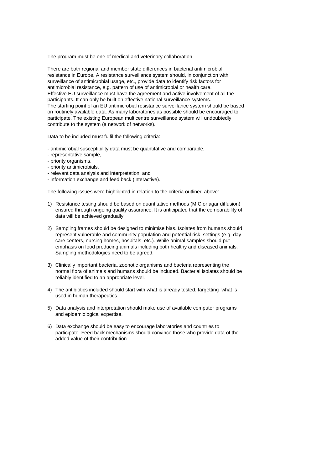The program must be one of medical and veterinary collaboration.

There are both regional and member state differences in bacterial antimicrobial resistance in Europe. A resistance surveillance system should, in conjunction with surveillance of antimicrobial usage, etc., provide data to identify risk factors for antimicrobial resistance, e.g. pattern of use of antimicrobial or health care. Effective EU surveillance must have the agreement and active involvement of all the participants. It can only be built on effective national surveillance systems. The starting point of an EU antimicrobial resistance surveillance system should be based on routinely available data. As many laboratories as possible should be encouraged to participate. The existing European multicentre surveillance system will undoubtedly contribute to the system (a network of networks).

Data to be included must fulfil the following criteria:

- antimicrobial susceptibility data must be quantitative and comparable,
- representative sample,
- priority organisms,
- priority antimicrobials,
- relevant data analysis and interpretation, and
- information exchange and feed back (interactive).

The following issues were highlighted in relation to the criteria outlined above:

- 1) Resistance testing should be based on quantitative methods (MIC or agar diffusion) ensured through ongoing quality assurance. It is anticipated that the comparability of data will be achieved gradually.
- 2) Sampling frames should be designed to minimise bias. Isolates from humans should represent vulnerable and community population and potential risk settings (e.g. day care centers, nursing homes, hospitals, etc.). While animal samples should put emphasis on food producing animals including both healthy and diseased animals. Sampling methodologies need to be agreed.
- 3) Clinically important bacteria, zoonotic organisms and bacteria representing the normal flora of animals and humans should be included. Bacterial isolates should be reliably identified to an appropriate level.
- 4) The antibiotics included should start with what is already tested, targetting what is used in human therapeutics.
- 5) Data analysis and interpretation should make use of available computer programs and epidemiological expertise.
- 6) Data exchange should be easy to encourage laboratories and countries to participate. Feed back mechanisms should convince those who provide data of the added value of their contribution.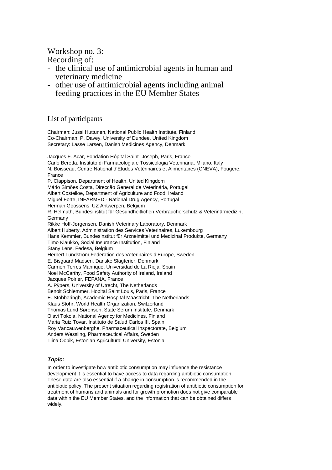Workshop no. 3:

- Recording of:
- the clinical use of antimicrobial agents in human and veterinary medicine
- other use of antimicrobial agents including animal feeding practices in the EU Member States

### List of participants

Chairman: Jussi Huttunen, National Public Health Institute, Finland Co-Chairman: P. Davey, University of Dundee, United Kingdom Secretary: Lasse Larsen, Danish Medicines Agency, Denmark

Jacques F. Acar, Fondation Hôpital Saint- Joseph, Paris, France Carlo Beretta, Instituto di Farmacologia e Tossicologia Veterinaria, Milano, Italy N. Boisseau, Centre National d'Etudes Vétérinaires et Alimentaires (CNEVA), Fougere, France P. Clappison, Department of Health, United Kingdom Mário Simões Costa, Direccão General de Veterinária, Portugal Albert Costelloe, Department of Agriculture and Food, Ireland Miguel Forte, INFARMED - National Drug Agency, Portugal Herman Goossens, UZ Antwerpen, Belgium R. Helmuth, Bundesinstitut für Gesundheitlichen Verbraucherschutz & Veterinärmedizin, **Germany** Rikke Hoff-Jørgensen, Danish Veterinary Laboratory, Denmark Albert Huberty, Administration des Services Veterinaires, Luxembourg Hans Kemmler, Bundesinstitut für Arzneimittel und Medizinal Produkte, Germany Timo Klaukko, Social Insurance Institution, Finland Stany Lens, Fedesa, Belgium Herbert Lundstrom,Federation des Veterinaires d'Europe, Sweden E. Bisgaard Madsen, Danske Slagterier, Denmark Carmen Torres Manrique, Universidad de La Rioja, Spain Noel McCarthy, Food Safety Authority of Ireland, Ireland Jacques Poirier, FEFANA, France A. Püpers, University of Utrecht, The Netherlands Benoit Schlemmer, Hopital Saint Louis, Paris, France E. Stobberingh, Academic Hospital Maastricht, The Netherlands Klaus Stöhr, World Health Organization, Switzerland Thomas Lund Sørensen, State Serum Institute, Denmark Olavi Tokola, National Agency for Medicines, Finland Maria Ruiz Tovar, Instituto de Salud Carlos III, Spain Roy Vancauwenberghe, Pharmaceutical Inspectorate, Belgium Anders Wessling, Pharmaceutical Affairs, Sweden Tiina Ööpik, Estonian Agricultural University, Estonia

#### *Topic:*

In order to investigate how antibiotic consumption may influence the resistance development it is essential to have access to data regarding antibiotic consumption. These data are also essential if a change in consumption is recommended in the antibiotic policy. The present situation regarding registration of antibiotic consumption for treatment of humans and animals and for growth promotion does not give comparable data within the EU Member States, and the information that can be obtained differs widely.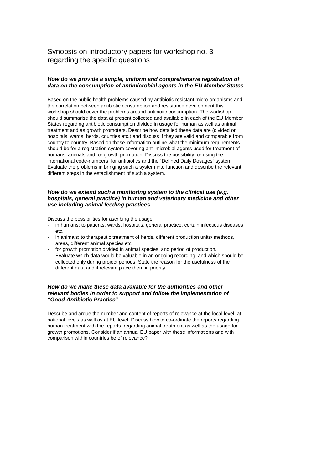## Synopsis on introductory papers for workshop no. 3 regarding the specific questions

#### *How do we provide a simple, uniform and comprehensive registration of data on the consumption of antimicrobial agents in the EU Member States*

Based on the public health problems caused by antibiotic resistant micro-organisms and the correlation between antibiotic consumption and resistance development this workshop should cover the problems around antibiotic consumption. The workshop should summarise the data at present collected and available in each of the EU Member States regarding antibiotic consumption divided in usage for human as well as animal treatment and as growth promoters. Describe how detailed these data are (divided on hospitals, wards, herds, counties etc.) and discuss if they are valid and comparable from country to country. Based on these information outline what the minimum requirements should be for a registration system covering anti-microbial agents used for treatment of humans, animals and for growth promotion. Discuss the possibility for using the international code-numbers for antibiotics and the "Defined Daily Dosages" system. Evaluate the problems in bringing such a system into function and describe the relevant different steps in the establishment of such a system.

#### *How do we extend such a monitoring system to the clinical use (e.g. hospitals, general practice) in human and veterinary medicine and other use including animal feeding practices*

Discuss the possibilities for ascribing the usage:

- in humans: to patients, wards, hospitals, general practice, certain infectious diseases etc.
- in animals: to therapeutic treatment of herds, different production units/ methods, areas, different animal species etc.
- for growth promotion divided in animal species and period of production. Evaluate which data would be valuable in an ongoing recording, and which should be collected only during project periods. State the reason for the usefulness of the different data and if relevant place them in priority.

#### *How do we make these data available for the authorities and other relevant bodies in order to support and follow the implementation of "Good Antibiotic Practice"*

Describe and argue the number and content of reports of relevance at the local level, at national levels as well as at EU level. Discuss how to co-ordinate the reports regarding human treatment with the reports regarding animal treatment as well as the usage for growth promotions. Consider if an annual EU paper with these informations and with comparison within countries be of relevance?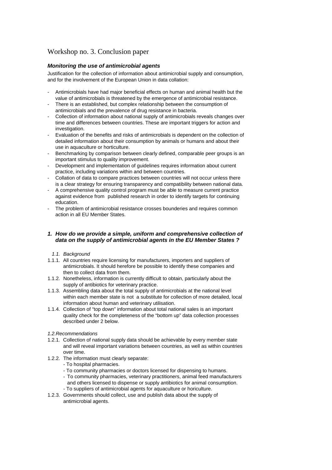## Workshop no. 3. Conclusion paper

#### *Monitoring the use of antimicrobial agents*

Justification for the collection of information about antimicrobial supply and consumption, and for the involvement of the European Union in data collation:

- Antimicrobials have had major beneficial effects on human and animal health but the value of antimicrobials is threatened by the emergence of antimicrobial resistance.
- There is an established, but complex relationship between the consumption of antimicrobials and the prevalence of drug resistance in bacteria.
- Collection of information about national supply of antimicrobials reveals changes over time and differences between countries. These are important triggers for action and investigation.
- Evaluation of the benefits and risks of antimicrobials is dependent on the collection of detailed information about their consumption by animals or humans and about their use in aquaculture or horticulture.
- Benchmarking by comparison between clearly defined, comparable peer groups is an important stimulus to quality improvement.
- Development and implementation of guidelines requires information about current practice, including variations within and between countries.
- Collation of data to compare practices between countries will not occur unless there is a clear strategy for ensuring transparency and compatibility between national data.
- A comprehensive quality control program must be able to measure current practice against evidence from published research in order to identify targets for continuing education.
- The problem of antimicrobial resistance crosses bounderies and requires common action in all EU Member States.

#### *1. How do we provide a simple, uniform and comprehensive collection of data on the supply of antimicrobial agents in the EU Member States ?*

- *1.1. Background*
- 1.1.1. All countries require licensing for manufacturers, importers and suppliers of antimicrobials. It should herefore be possible to identify these companies and then to collect data from them.
- 1.1.2. Nonetheless, information is currently difficult to obtain, particularly about the supply of antibiotics for veterinary practice.
- 1.1.3. Assembling data about the total supply of antimicrobials at the national level within each member state is not a substitute for collection of more detailed, local information about human and veterinary utilisation.
- 1.1.4. Collection of "top down" information about total national sales is an important quality check for the completeness of the "bottom up" data collection processes described under 2 below.
- *1.2.Recommendations*
- 1.2.1. Collection of national supply data should be achievable by every member state and will reveal important variations between countries, as well as within countries over time.
- 1.2.2. The information must clearly separate:
	- To hospital pharmacies.
	- To community pharmacies or doctors licensed for dispensing to humans.
	- To community pharmacies, veterinary practitioners, animal feed manufacturers and others licensed to dispense or supply antibiotics for animal consumption.
	- To suppliers of antimicrobial agents for aquaculture or horiculture.
- 1.2.3. Governments should collect, use and publish data about the supply of antimicrobial agents.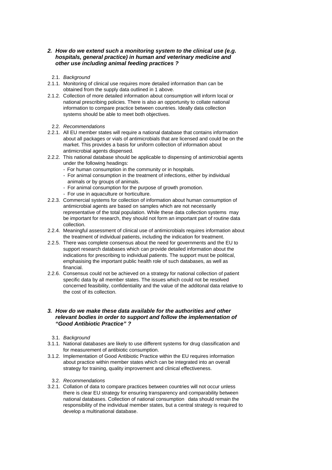#### *2. How do we extend such a monitoring system to the clinical use (e.g. hospitals, general practice) in human and veterinary medicine and other use including animal feeding practices ?*

- 2.1. *Background*
- 2.1.1. Monitoring of clinical use requires more detailed information than can be obtained from the supply data outlined in 1 above.
- 2.1.2. Collection of more detailed information about consumption will inform local or national prescribing policies. There is also an opportunity to collate national information to compare practice between countries. Ideally data collection systems should be able to meet both objectives.
- 2.2. *Recommendations*
- 2.2.1. All EU member states will require a national database that contains information about all packages or vials of antimicrobials that are licensed and could be on the market. This provides a basis for uniform collection of information about antimicrobial agents dispensed.
- 2.2.2. This national database should be applicable to dispensing of antimicrobial agents under the following headings:
	- For human consumption in the community or in hospitals.
	- For animal consumption in the treatment of infections, either by individual animals or by groups of animals.
	- For animal consumption for the purpose of growth promotion.
	- For use in aquaculture or horticulture.
- 2.2.3. Commercial systems for collection of information about human consumption of antimicrobial agents are based on samples which are not necessarily representative of the total population. While these data collection systems may be important for research, they should not form an important part of routine data collection.
- 2.2.4. Meaningful assessment of clinical use of antimicrobials requires information about the treatment of individual patients, including the indication for treatment.
- 2.2.5. There was complete consensus about the need for governments and the EU to support research databases which can provide detailed information about the indications for prescribing to individual patients. The support must be political, emphasising the important public health role of such databases, as well as financial.
- 2.2.6. Consensus could not be achieved on a strategy for national collection of patient specific data by all member states. The issues which could not be resolved concerned feasibility, confidentiality and the value of the additonal data relative to the cost of its collection.

#### *3. How do we make these data available for the authorities and other relevant bodies in order to support and follow the implementation of "Good Antibiotic Practice" ?*

- 3.1. *Background*
- 3.1.1. National databases are likely to use different systems for drug classification and for measurement of antibiotic consumption.
- 3.1.2. Implementation of Good Antibiotic Practice within the EU requires information about practice within member states which can be integrated into an overall strategy for training, quality improvement and clinical effectiveness.
	- 3.2. *Recommendations*
- 3.2.1. Collation of data to compare practices between countries will not occur unless there is clear EU strategy for ensuring transparency and comparability between national databases. Collection of national consumption data should remain the responsibility of the individual member states, but a central strategy is required to develop a multinational database.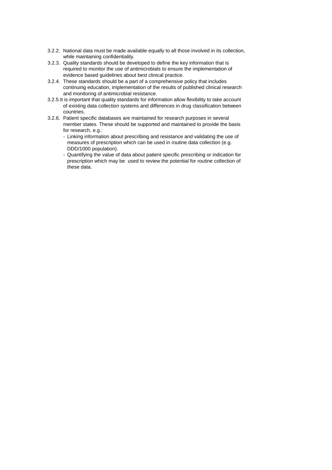- 3.2.2. National data must be made available equally to all those involved in its collection, while maintaining confidentiality.
- 3.2.3. Quality standards should be developed to define the key information that is required to monitor the use of antimicrobials to ensure the implementation of evidence based guidelines about best clinical practice.
- 3.2.4. These standards should be a part of a comprehensive policy that includes continuing education, implementation of the results of published clinical research and monitoring of antimicrobial resistance.
- 3.2.5.It is important that quality standards for information allow flexibility to take account of existing data collection systems and differences in drug classification between countries.
- 3.2.6. Patient specific databases are maintained for research purposes in several member states. These should be supported and maintained to provide the basis for research, e.g.:
	- Linking information about prescribing and resistance and validating the use of measures of prescription which can be used in routine data collection (e.g. DDD/1000 population).
	- Quantifying the value of data about patient specific prescribing or indication for prescription which may be used to review the potential for routine collection of these data.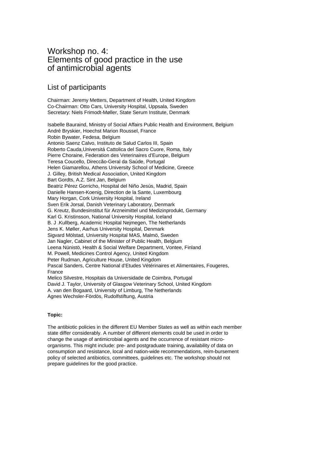# Workshop no. 4: Elements of good practice in the use of antimicrobial agents

## List of participants

Chairman: Jeremy Metters, Department of Health, United Kingdom Co-Chairman: Otto Cars, University Hospital, Uppsala, Sweden Secretary: Niels Frimodt-Møller, State Serum Institute, Denmark

Isabelle Bauraind, Ministry of Social Affairs Public Health and Environment, Belgium André Bryskier, Hoechst Marion Roussel, France Robin Bywater, Fedesa, Belgium Antonio Saenz Calvo, Instituto de Salud Carlos III, Spain Roberto Cauda,Universitá Cattolica del Sacro Cuore, Roma, Italy Pierre Choraine, Federation des Veterinaires d'Europe, Belgium Teresa Coucello, Direccão-Geral da Saúde, Portugal Helen Giamarellou, Athens University School of Medicine, Greece J. Gilley, British Medical Association, United Kingdom Bart Gordts, A.Z. Sint Jan, Belgium Beatriz Pérez Gorricho, Hospital del Niño Jesús, Madrid, Spain Danielle Hansen-Koenig, Direction de la Sante, Luxembourg Mary Horgan, Cork University Hospital, Ireland Sven Erik Jorsal, Danish Veterinary Laboratory, Denmark G. Kreutz, Bundesinstitut für Arzneimittel und Medizinprodukt, Germany Karl G. Kristinsson, National University Hospital, Iceland B. J .Kullberg, Academic Hospital Nejmegen, The Netherlands Jens K. Møller, Aarhus University Hospital, Denmark Sigvard Mölstad, University Hospital MAS, Malmö, Sweden Jan Nagler, Cabinet of the Minister of Public Health, Belgium Leena Nünistö, Health & Social Welfare Department, Vontee, Finland M. Powell, Medicines Control Agency, United Kingdom Peter Rudman, Agriculture House, United Kingdom Pascal Sanders, Centre National d'Etudes Vétérinaires et Alimentaires, Fougeres, France Melico Silvestre, Hospitais da Universidade de Coimbra, Portugal David J. Taylor, University of Glasgow Veterinary School, United Kingdom A. van den Bogaard, University of Limburg, The Netherlands Agnes Wechsler-Fördös, Rudolfstiftung, Austria

#### **Topic:**

The antibiotic policies in the different EU Member States as well as within each member state differ considerably. A number of different elements could be used in order to change the usage of antimicrobial agents and the occurrence of resistant microorganisms. This might include: pre- and postgraduate training, availability of data on consumption and resistance, local and nation-wide recommendations, reim-bursement policy of selected antibiotics, committees, guidelines etc. The workshop should not prepare guidelines for the good practice.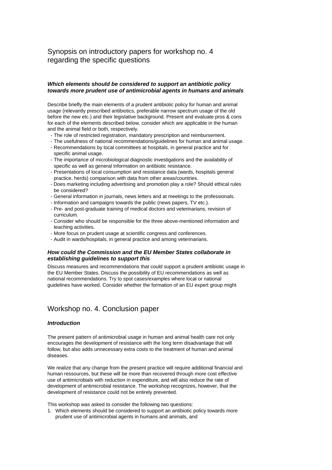# Synopsis on introductory papers for workshop no. 4 regarding the specific questions

#### *Which elements should be considered to support an antibiotic policy towards more prudent use of antimicrobial agents in humans and animals*

Describe briefly the main elements of a prudent antibiotic policy for human and animal usage (relevantly prescribed antibiotics, preferable narrow spectrum usage of the old before the new etc.) and their legislative background. Present and evaluate pros & cons for each of the elements described below, consider which are applicable in the human and the animal field or both, respectively.

- The role of restricted registration, mandatory prescription and reimbursement.
- The usefulness of national recommendations/guidelines for human and animal usage.
- Recommendations by local committees at hospitals, in general practice and for specific animal usage.
- The importance of microbiological diagnostic investigations and the availability of specific as well as general information on antibiotic resistance.
- Presentations of local consumption and resistance data (wards, hospitals general practice, herds) comparison with data from other areas/countries.
- Does marketing including advertising and promotion play a role? Should ethical rules be considered?
- General information in journals, news letters and at meetings to the professionals.
- Information and campaigns towards the public (news papers, TV etc.).
- Pre- and post-graduate training of medical doctors and veterinarians, revision of curriculum.
- Consider who should be responsible for the three above-mentioned information and teaching activities.
- More focus on prudent usage at scientific congress and conferences.
- Audit in wards/hospitals, in general practice and among veterinarians.

#### *How could the Commission and the EU Member States collaborate in establishing guidelines to support this*

Discuss measures and recommendations that could support a prudent antibiotic usage in the EU Member States. Discuss the possibility of EU recommendations as well as national recommendations. Try to spot cases/examples where local or national guidelines have worked. Consider whether the formation of an EU expert group might

### Workshop no. 4. Conclusion paper

#### *Introduction*

The present pattern of antimicrobial usage in human and animal health care not only encourages the development of resistance with the long term disadvantage that will follow, but also adds unnecessary extra costs to the treatment of human and animal diseases.

We realize that any change from the present practice will require additional financial and human ressources, but these will be more than recovered through more cost effective use of antimicrobials with reduction in expenditure, and will also reduce the rate of development of antimicrobial resistance. The workshop recognizes, however, that the development of resistance could not be entirely prevented.

This workshop was asked to consider the following two questions:

1. Which elements should be considered to support an antibiotic policy towards more prudent use of antimicrobial agents in humans and animals, and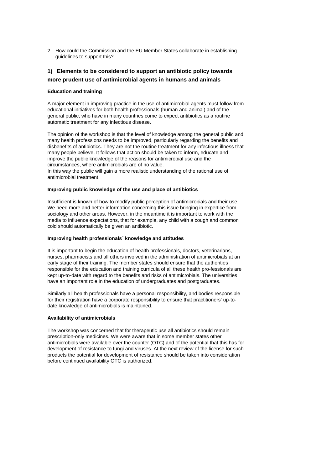2. How could the Commission and the EU Member States collaborate in establishing guidelines to support this?

### **1) Elements to be considered to support an antibiotic policy towards more prudent use of antimicrobial agents in humans and animals**

#### **Education and training**

A major element in improving practice in the use of antimicrobial agents must follow from educational initiatives for both health professionals (human and animal) and of the general public, who have in many countries come to expect antibiotics as a routine automatic treatment for any infectious disease.

The opinion of the workshop is that the level of knowledge among the general public and many health professions needs to be improved, particularly regarding the benefits and disbenefits of antibiotics. They are not the routine treatment for any infectious illness that many people believe. It follows that action should be taken to inform, educate and improve the public knowledge of the reasons for antimicrobial use and the circumstances, where antimicrobials are of no value. In this way the public will gain a more realistic understanding of the rational use of antimicrobial treatment.

#### **Improving public knowledge of the use and place of antibiotics**

Insufficient is known of how to modify public perception of antimicrobials and their use. We need more and better information concerning this issue bringing in expertice from sociology and other areas. However, in the meantime it is important to work with the media to influence expectations, that for example, any child with a cough and common cold should automatically be given an antibiotic.

#### **Improving health professionals´ knowledge and attitudes**

It is important to begin the education of health professionals, doctors, veterinarians, nurses, pharmacists and all others involved in the administration of antimicrobials at an early stage of their training. The member states should ensure that the authorities responsible for the education and training curricula of all these health pro-fessionals are kept up-to-date with regard to the benefits and risks of antimicrobials. The universities have an important role in the education of undergraduates and postgraduates.

Similarly all health professionals have a personal responsibility, and bodies responsible for their registration have a corporate responsibility to ensure that practitioners' up-todate knowledge of antimicrobials is maintained.

#### **Availability of antimicrobials**

The workshop was concerned that for therapeutic use all antibiotics should remain prescription-only medicines. We were aware that in some member states other antimicrobials were available over the counter (OTC) and of the potential that this has for development of resistance to fungi and viruses. At the next review of the license for such products the potential for development of resistance should be taken into consideration before continued availability OTC is authorized.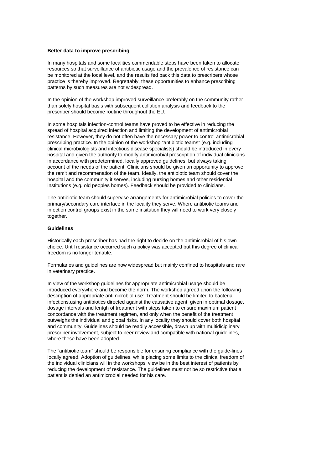#### **Better data to improve prescribing**

In many hospitals and some localities commendable steps have been taken to allocate resources so that surveillance of antibiotic usage and the prevalence of resistance can be monitored at the local level, and the results fed back this data to prescribers whose practice is thereby improved. Regrettably, these opportunities to enhance prescribing patterns by such measures are not widespread.

In the opinion of the workshop improved surveillance preferably on the community rather than solely hospital basis with subsequent collation analysis and feedback to the prescriber should become routine throughout the EU.

In some hospitals infection-control teams have proved to be effective in reducing the spread of hospital acquired infection and limiting the development of antimicrobial resistance. However, they do not often have the necessary power to control antimicrobial prescribing practice. In the opinion of the workshop "antibiotic teams" (e.g. including clinical microbiologists and infectious disease specialists) should be introduced in every hospital and given the authority to modify antimicrobial prescription of individual clinicians in accordance with predetermined, locally approved guidelines, but always taking account of the needs of the patient. Clinicians should be given an opportunity to approve the remit and recommenation of the team. Ideally, the antibiotic team should cover the hospital and the community it serves, including nursing homes and other residential institutions (e.g. old peoples homes). Feedback should be provided to clinicians.

The antibiotic team should supervise arrangements for antimicrobial policies to cover the primary/secondary care interface in the locality they serve. Where antibiotic teams and infection control groups exist in the same insitution they will need to work very closely together.

#### **Guidelines**

Historically each prescriber has had the right to decide on the antimicrobial of his own choice. Until resistance occurred such a policy was accepted but this degree of clinical freedom is no longer tenable.

Formularies and guidelines are now widespread but mainly confined to hospitals and rare in veterinary practice.

In view of the workshop guidelines for appropriate antimicrobial usage should be introduced everywhere and become the norm. The workshop agreed upon the following description of appropriate antimicrobial use: Treatment should be limited to bacterial infections,using antibiotics directed against the causative agent, given in optimal dosage, dosage intervals and lentgh of treatment with steps taken to ensure maximum patient concordance with the treatment regimen, and only when the benefit of the treatment outweighs the individual and global risks. In any locality they should cover both hospital and community. Guidelines should be readily accessible, drawn up with multidiciplinary prescriber involvement, subject to peer review and compatible with national guidelines, where these have been adopted.

The "antibiotic team" should be responsible for ensuring compliance with the guide-lines locally agreed. Adoption of guidelines, while placing some limits to the clinical freedom of the individual clinicians will in the workshops' view be in the best interest of patients by reducing the development of resistance. The guidelines must not be so restrictive that a patient is denied an antimicrobial needed for his care.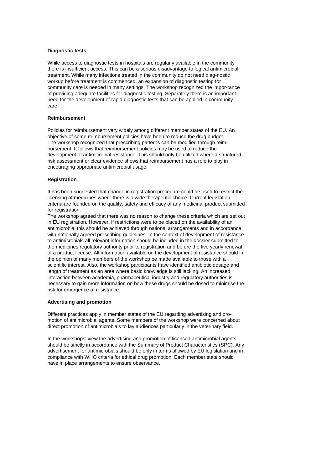#### **Diagnostic tests**

While access to diagnostic tests in hospitals are regularly available in the community there is insufficient access. This can be a serious disadvantage to logical antimicrobial treatment. While many infections treated in the community do not need diag-nostic workup before treatment is commenced, an expansion of diagnostic testing for community care is needed in many settings. The workshop recognized the impor-tance of providing adequate facilities for diagnostic testing. Separately there is an important need for the development of rapid diagnostic tests that can be applied in community care.

#### **Reimbursement**

Policies for reimbursement vary widely among different member states of the EU. An objective of some reimbursement policies have been to reduce the drug budget. The workshop recognized that prescribing patterns can be modified through reimbursement. It follows that reimbursement policies may be used to reduce the development of antimicrobial resistance. This should only be utilized where a structured risk assessment or clear evidence shows that reimbursement has a role to play in encouraging appropriate antimicrobial usage.

#### **Registration**

It has been suggested that change in registration procedure could be used to restrict the licensing of medicines where there is a wide therapeutic choice. Current legislation criteria are founded on the quality, safety and efficacy of any medicinal product submitted for registration.

The workshop agreed that there was no reason to change these criteria which are set out in EU registration. However, if restrictions were to be placed on the availability of an antimicrobial this should be achieved through national arrangements and in accordance with nationally agreed prescribing guidelines. In the context of development of resistance to antimicrobials all relevant information should be included in the dossier submitted to the medicines regulatory authority prior to registration and before the five yearly renewal of a product license. All information available on the development of resistance should in the opinion of many members of the workshop be made available to those with a scientific interest. Also, the workshop participants have identified antibiotic dosage and length of treatment as an area where basic knowledge is still lacking. An increased interaction between academia, pharmaceutical industry and regulatory authorities is necessary to gain more information on how these drugs should be dosed to minimise the risk for emergence of resistance.

#### **Advertising and promotion**

Different practices apply in member states of the EU regarding advertising and promotion of antimicrobial agents. Some members of the workshop were concerned about direct promotion of antimicrobials to lay audiences particularly in the veterinary field.

In the workshops' view the advertising and promotion of licensed antimicrobial agents should be strictly in accordance with the Summary of Product Characteristics (SPC). Any advertisement for antimicrobials should be only in terms allowed by EU legislation and in compliance with WHO criteria for ethical drug promotion. Each member state should have in place arrangements to ensure observance.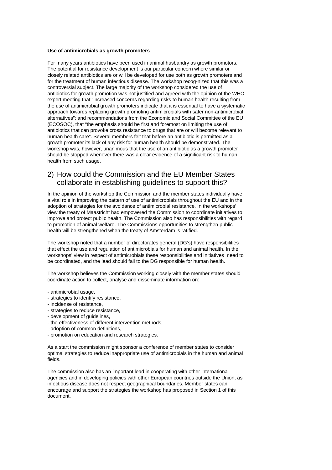#### **Use of antimicrobials as growth promoters**

For many years antibiotics have been used in animal husbandry as growth promotors. The potential for resistance development is our particular concern where similar or closely related antibiotics are or will be developed for use both as growth promoters and for the treatment of human infectious disease. The workshop recog-nized that this was a controversial subject. The large majority of the workshop considered the use of antibiotics for growth promotion was not justified and agreed with the opinion of the WHO expert meeting that "increased concerns regarding risks to human health resulting from the use of antimicrobial growth promoters indicate that it is essential to have a systematic approach towards replacing growth promoting antimicrobials with safer non-antimicrobial alternatives"; and recommendations from the Economic and Social Committee of the EU (ECOSOC), that "the emphasis should be first and foremost on limiting the use of antibiotics that can provoke cross resistance to drugs that are or will become relevant to human health care". Several members felt that before an antibiotic is permitted as a growth promoter its lack of any risk for human health should be demonstrated. The workshop was, however, unanimous that the use of an antibiotic as a growth promoter should be stopped whenever there was a clear evidence of a significant risk to human health from such usage.

# 2) How could the Commission and the EU Member States collaborate in establishing guidelines to support this?

In the opinion of the workshop the Commission and the member states individually have a vital role in improving the pattern of use of antimicrobials throughout the EU and in the adoption of strategies for the avoidance of antimicrobial resistance. In the workshops' view the treaty of Maastricht had empowered the Commission to coordinate initiatives to improve and protect public health. The Commission also has responsibilities with regard to promotion of animal welfare. The Commissions opportunities to strengthen public health will be strengthened when the treaty of Amsterdam is ratified.

The workshop noted that a number of directorates general (DG's) have responsibilities that effect the use and regulation of antimicrobials for human and animal health. In the workshops' view in respect of antimicrobials these responsibilities and initiatives need to be coordinated, and the lead should fall to the DG responsible for human health.

The workshop believes the Commission working closely with the member states should coordinate action to collect, analyse and disseminate information on:

- antimicrobial usage,
- strategies to identify resistance,
- incidense of resistance,
- strategies to reduce resistance,
- development of guidelines,
- the effectiveness of different intervention methods,
- adoption of common definitions,
- promotion on education and research strategies.

As a start the commission might sponsor a conference of member states to consider optimal strategies to reduce inappropriate use of antimicrobials in the human and animal fields.

The commission also has an important lead in cooperating with other international agencies and in developing policies with other European countries outside the Union, as infectious disease does not respect geographical boundaries. Member states can encourage and support the strategies the workshop has proposed in Section 1 of this document.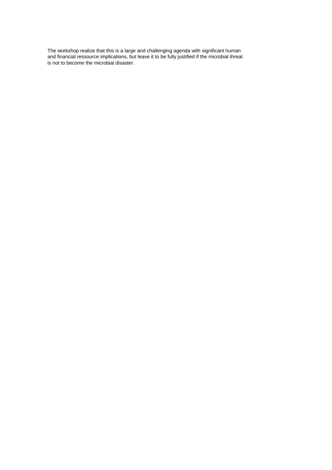The workshop realize that this is a large and challenging agenda with significant human and financial ressource implications, but leave it to be fully justified if the microbial threat is not to become the microbial disaster.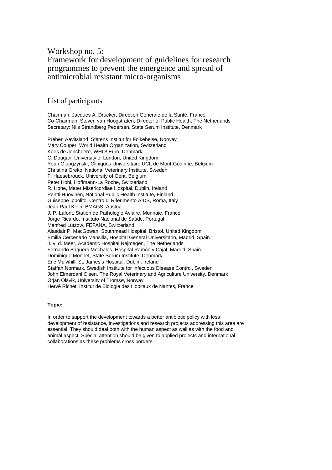# Workshop no. 5: Framework for development of guidelines for research programmes to prevent the emergence and spread of antimicrobial resistant micro-organisms

### List of participants

Chairman: Jacques A. Drucker, Direction Génerale de la Santé, France Co-Chairman: Steven van Hoogstraten, Director of Public Health, The Netherlands Secretary: Nils Strandberg Pedersen, State Serum Institute, Denmark

Preben Aavitsland, Statens Institut for Folkehelse, Norway Mary Couper, World Health Organization, Switzerland Kees de Joncheere, WHO/ Euro, Denmark C. Dougan, University of London, United Kingdom Youri Glupgzynski, Cliniques Universitaire UCL de Mont-Godinne, Belgium Christina Greko, National Veterinary Institute, Sweden F. Haesebrouck, University of Gent, Belgium Peter Hohl, Hoffmann-La Roche, Switzerland R. Hone, Mater Misericordiae Hospital, Dublin, Ireland Pentti Huovinen, National Public Health Institute, Finland Guiseppe Ippolito, Centro di Riferimento AIDS, Roma, Italy Jean Paul Klein, BMAGS, Austria J. P. Lafont, Station de Pathologie Aviaire, Monnaie, France Jorge Ricardo, Instituto Nacional de Saúde, Portugal Manfred Lützow, FEFANA, Switzerland Alasdair P. MacGowan, Southmead Hospital, Bristol, United Kingdom Emilia Cercenado Mansilla, Hospital General Universitario, Madrid, Spain J. v. d. Meer, Academic Hospital Nejmegen, The Netherlands Fernando Baquero Mochales, Hospital Ramón y Cajal, Madrid, Spain Dominique Monnet, State Serum Institute, Denmark Eric Mulvihill, St. James's Hospital, Dublin, Ireland Staffan Normark, Swedish Institute for Infectious Disease Control, Sweden John Elmerdahl Olsen, The Royal Veterinary and Agriculture University, Denmark Ørjan Olsvik, University of Tromsø, Norway Hervé Richet, Institut de Biologie des Hopitaux de Nantes, France

#### **Topic:**

In order to support the development towards a better antibiotic policy with less development of resistance, investigations and research projects addressing this area are essential. They should deal both with the human aspect as well as with the food and animal aspect. Special attention should be given to applied projects and international collaborations as these problems cross borders.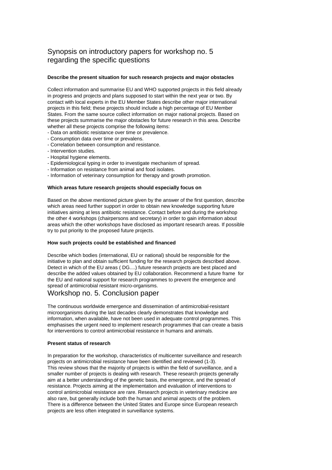# Synopsis on introductory papers for workshop no. 5 regarding the specific questions

#### **Describe the present situation for such research projects and major obstacles**

Collect information and summarise EU and WHO supported projects in this field already in progress and projects and plans supposed to start within the next year or two. By contact with local experts in the EU Member States describe other major international projects in this field; these projects should include a high percentage of EU Member States. From the same source collect information on major national projects. Based on these projects summarise the major obstacles for future research in this area. Describe whether all these projects comprise the following items:

- Data on antibiotic resistance over time or prevalence.

- Consumption data over time or prevalens.
- Correlation between consumption and resistance.
- Intervention studies.
- Hospital hygiene elements.
- Epidemiological typing in order to investigate mechanism of spread.
- Information on resistance from animal and food isolates.
- Information of veterinary consumption for therapy and growth promotion.

#### **Which areas future research projects should especially focus on**

Based on the above mentioned picture given by the answer of the first question, describe which areas need further support in order to obtain new knowledge supporting future initiatives aiming at less antibiotic resistance. Contact before and during the workshop the other 4 workshops (chairpersons and secretary) in order to gain information about areas which the other workshops have disclosed as important research areas. If possible try to put priority to the proposed future projects.

#### **How such projects could be established and financed**

Describe which bodies (international, EU or national) should be responsible for the initiative to plan and obtain sufficient funding for the research projects described above. Detect in which of the EU areas ( DG....) future research projects are best placed and describe the added values obtained by EU collaboration. Recommend a future frame for the EU and national support for research programmes to prevent the emergence and spread of antimicrobial resistant micro-organisms.

### Workshop no. 5. Conclusion paper

The continuous worldwide emergence and dissemination of antimicrobial-resistant microorganisms during the last decades clearly demonstrates that knowledge and information, when available, have not been used in adequate control programmes. This emphasises the urgent need to implement research programmes that can create a basis for interventions to control antimicrobial resistance in humans and animals.

#### **Present status of research**

In preparation for the workshop, characteristics of multicenter surveillance and research projects on antimicrobial resistance have been identified and reviewed (1-3). This review shows that the majority of projects is within the field of surveillance, and a smaller number of projects is dealing with research. These research projects generally aim at a better understanding of the genetic basis, the emergence, and the spread of resistance. Projects aiming at the implementation and evaluation of interventions to control antimicrobial resistance are rare. Research projects in veterinary medicine are also rare, but generally include both the human and animal aspects of the problem. There is a difference between the United States and Europe since European research projects are less often integrated in surveillance systems.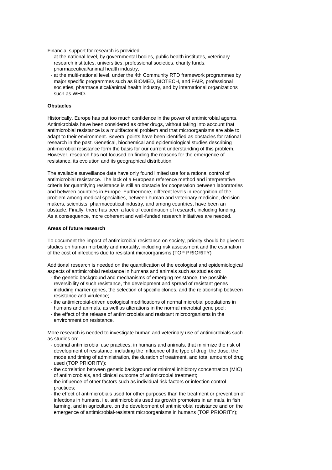Financial support for research is provided:

- at the national level, by governmental bodies, public health institutes, veterinary research institutes, universities, professional societies, charity funds, pharmaceutical/animal health industry,
- at the multi-national level, under the 4th Community RTD framework programmes by major specific programmes such as BIOMED, BIOTECH, and FAIR, professional societies, pharmaceutical/animal health industry, and by international organizations such as WHO.

#### **Obstacles**

Historically, Europe has put too much confidence in the power of antimicrobial agents. Antimicrobials have been considered as other drugs, without taking into account that antimicrobial resistance is a multifactorial problem and that microorganisms are able to adapt to their environment. Several points have been identified as obstacles for rational research in the past. Genetical, biochemical and epidemiological studies describing antimicrobial resistance form the basis for our current understanding of this problem. However, research has not focused on finding the reasons for the emergence of resistance, its evolution and its geographical distribution.

The available surveillance data have only found limited use for a rational control of antimicrobial resistance. The lack of a European reference method and interpretative criteria for quantifying resistance is still an obstacle for cooperation between laboratories and between countries in Europe. Furthermore, different levels in recognition of the problem among medical specialties, between human and veterinary medicine, decision makers, scientists, pharmaceutical industry, and among countries, have been an obstacle. Finally, there has been a lack of coordination of research, including funding. As a consequence, more coherent and well-funded research initiatives are needed.

#### **Areas of future research**

To document the impact of antimicrobial resistance on society, priority should be given to studies on human morbidity and mortality, including risk assessment and the estimation of the cost of infections due to resistant microorganisms (TOP PRIORITY)

Additional research is needed on the quantification of the ecological and epidemiological aspects of antimicrobial resistance in humans and animals such as studies on:

- the genetic background and mechanisms of emerging resistance, the possible reversibility of such resistance, the development and spread of resistant genes including marker genes, the selection of specific clones, and the relationship between resistance and virulence;
- the antimicrobial-driven ecological modifications of normal microbial populations in humans and animals, as well as alterations in the normal microbial gene pool;
- the effect of the release of antimicrobials and resistant microorganisms in the environment on resistance.

More research is needed to investigate human and veterinary use of antimicrobials such as studies on:

- optimal antimicrobial use practices, in humans and animals, that minimize the risk of development of resistance, including the influence of the type of drug, the dose, the mode and timing of administration, the duration of treatment, and total amount of drug used (TOP PRIORITY);
- the correlation between genetic background or minimal inhibitory concentration (MIC) of antimicrobials, and clinical outcome of antimicrobial treatment;
- the influence of other factors such as individual risk factors or infection control practices;
- the effect of antimicrobials used for other purposes than the treatment or prevention of infections in humans, i.e. antimicrobials used as growth promoters in animals, in fish farming, and in agriculture, on the development of antimicrobial resistance and on the emergence of antimicrobial-resistant microorganisms in humans (TOP PRIORITY);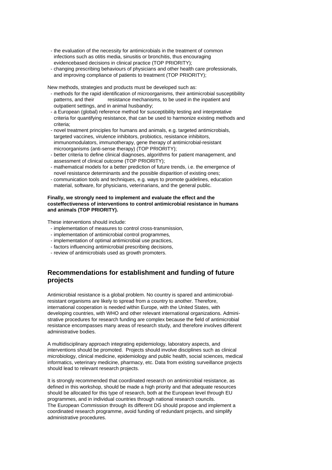- the evaluation of the necessity for antimicrobials in the treatment of common infections such as otitis media, sinusitis or bronchitis, thus encouraging evidencebased decisions in clinical practice (TOP PRIORITY);
- changing prescribing behaviours of physicians and other health care professionals, and improving compliance of patients to treatment (TOP PRIORITY);

New methods, strategies and products must be developed such as:

- methods for the rapid identification of microorganisms, their antimicrobial susceptibility patterns, and their resistance mechanisms, to be used in the inpatient and outpatient settings, and in animal husbandry;
- a European (global) reference method for susceptibility testing and interpretative criteria for quantifying resistance, that can be used to harmonize existing methods and criteria;
- novel treatment principles for humans and animals, e.g. targeted antimicrobials, targeted vaccines, virulence inhibitors, probiotics, resistance inhibitors, immunomodulators, immunotherapy, gene therapy of antimicrobial-resistant microorganisms (anti-sense therapy) (TOP PRIORITY);
- better criteria to define clinical diagnoses, algorithms for patient management, and assessment of clinical outcome (TOP PRIORITY);
- mathematical models for a better prediction of future trends, i.e. the emergence of novel resistance determinants and the possible disparition of existing ones;
- communication tools and techniques, e.g. ways to promote guidelines, education material, software, for physicians, veterinarians, and the general public.

#### **Finally, we strongly need to implement and evaluate the effect and the costeffectiveness of interventions to control antimicrobial resistance in humans and animals (TOP PRIORITY).**

These interventions should include:

- implementation of measures to control cross-transmission,
- implementation of antimicrobial control programmes,
- implementation of optimal antimicrobial use practices,
- factors influencing antimicrobial prescribing decisions,
- review of antimicrobials used as growth promoters.

### **Recommendations for establishment and funding of future projects**

Antimicrobial resistance is a global problem. No country is spared and antimicrobialresistant organisms are likely to spread from a country to another. Therefore, international cooperation is needed within Europe, with the United States, with developing countries, with WHO and other relevant international organizations. Administrative procedures for research funding are complex because the field of antimicrobial resistance encompasses many areas of research study, and therefore involves different administrative bodies.

A multidisciplinary approach integrating epidemiology, laboratory aspects, and interventions should be promoted. Projects should involve disciplines such as clinical microbiology, clinical medicine, epidemiology and public health, social sciences, medical informatics, veterinary medicine, pharmacy, etc. Data from existing surveillance projects should lead to relevant research projects.

It is strongly recommended that coordinated research on antimicrobial resistance, as defined in this workshop, should be made a high priority and that adequate resources should be allocated for this type of research, both at the European level through EU programmes, and in individual countries through national research councils. The European Commission through its different DG should propose and implement a coordinated research programme, avoid funding of redundant projects, and simplify administrative procedures.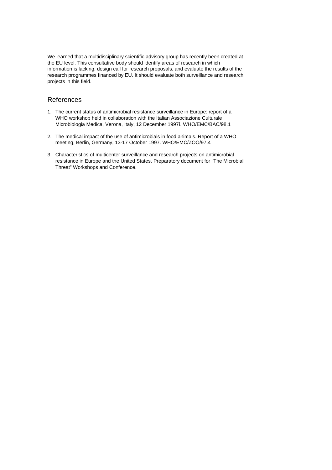We learned that a multidisciplinary scientific advisory group has recently been created at the EU level. This consultative body should identify areas of research in which information is lacking, design call for research proposals, and evaluate the results of the research programmes financed by EU. It should evaluate both surveillance and research projects in this field.

### **References**

- 1. The current status of antimicrobial resistance surveillance in Europe: report of a WHO workshop held in collaboration with the Italian Associazione Culturale Microbiologia Medica, Verona, Italy, 12 December 1997î. WHO/EMC/BAC/98.1
- 2. The medical impact of the use of antimicrobials in food animals. Report of a WHO meeting, Berlin, Germany, 13-17 October 1997. WHO/EMC/ZOO/97.4
- 3. Characteristics of multicenter surveillance and research projects on antimicrobial resistance in Europe and the United States. Preparatory document for "The Microbial Threat" Workshops and Conference.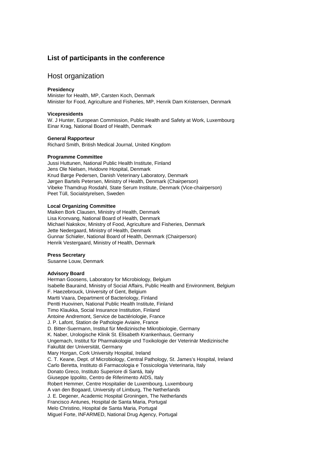### **List of participants in the conference**

### Host organization

#### **Presidency**

Minister for Health, MP, Carsten Koch, Denmark Minister for Food, Agriculture and Fisheries, MP, Henrik Dam Kristensen, Denmark

#### **Vicepresidents**

W. J Hunter, European Commission, Public Health and Safety at Work, Luxembourg Einar Krag, National Board of Health, Denmark

#### **General Rapporteur**

Richard Smith, British Medical Journal, United Kingdom

#### **Programme Committee**

Jussi Huttunen, National Public Health Institute, Finland Jens Ole Nielsen, Hvidovre Hospital, Denmark Knud Børge Pedersen, Danish Veterinary Laboratory, Denmark Jørgen Bartels Petersen, Ministry of Health, Denmark (Chairperson) Vibeke Thamdrup Rosdahl, State Serum Institute, Denmark (Vice-chairperson) Peet Tüll, Socialstyrelsen, Sweden

#### **Local Organizing Committee**

Maiken Bork Clausen, Ministry of Health, Denmark Lisa Kronvang, National Board of Health, Denmark Michael Nakskov, Ministry of Food, Agriculture and Fisheries, Denmark Jette Nedergaard, Ministry of Health, Denmark Gunnar Schiøler, National Board of Health, Denmark (Chairperson) Henrik Vestergaard, Ministry of Health, Denmark

#### **Press Secretary**

Susanne Louw, Denmark

#### **Advisory Board**

Herman Goosens, Laboratory for Microbiology, Belgium Isabelle Bauraind, Ministry of Social Affairs, Public Health and Environment, Belgium F. Haezebrouck, University of Gent, Belgium Martti Vaara, Department of Bacteriology, Finland Pentti Huovinen, National Public Health Institute, Finland Timo Klaukka, Social Insurance Institution, Finland Antoine Andremont, Service de bactériologie, France J. P. Lafont, Station de Pathologie Aviaire, France D. Bitter-Suermann, Institut für Medizinische Mikrobiologie, Germany K. Naber, Urologische Klinik St. Elisabeth Krankenhaus, Germany Ungemach, Institut für Pharmakologie und Toxikologie der Veterinär Medizinische Fakultät der Universität, Germany Mary Horgan, Cork University Hospital, Ireland C. T. Keane, Dept. of Microbiology, Central Pathology, St. James's Hospital, Ireland Carlo Beretta, Instituto di Farmacologia e Tossicologia Veterinaria, Italy Donato Greco, Instituto Superiore di Santá, Italy Giuseppe Ippolito, Centro de Riferimento AIDS, Italy Robert Hemmer, Centre Hospitalier de Luxembourg, Luxembourg A van den Bogaard, University of Limburg, The Netherlands J. E. Degener, Academic Hospital Groningen, The Netherlands Francisco Antunes, Hospital de Santa Maria, Portugal Melo Christino, Hospital de Santa Maria, Portugal Miguel Forte, INFARMED, National Drug Agency, Portugal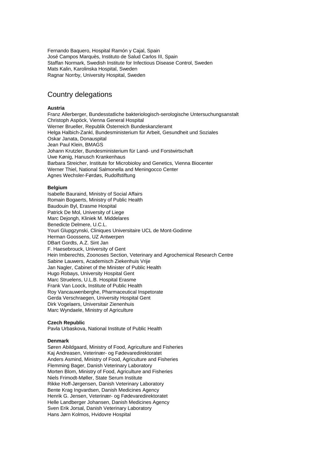Fernando Baquero, Hospital Ramón y Cajal, Spain José Campos Marquès, Instituto de Salud Carlos III, Spain Staffan Normark, Swedish Institute for Infectious Disease Control, Sweden Mats Kalin, Karolinska Hospital, Sweden Ragnar Norrby, University Hospital, Sweden

# Country delegations

#### **Austria**

Franz Allerberger, Bundesstatliche bakteriologisch-serologische Untersuchungsanstalt Christoph Aspöck, Vienna General Hospital Werner Brueller, Republik Österreich Bundeskanzleramt Helga Halbich-Zankl, Bundesministerium für Arbeit, Gesundheit und Soziales Oskar Janata, Donauspital Jean Paul Klein, BMAGS Johann Krutzler, Bundesministerium für Land- und Forstwirtschaft Uwe Kønig, Hanusch Krankenhaus Barbara Streicher, Institute for Microbioloy and Genetics, Vienna Biocenter Werner Thiel, National Salmonella and Meningocco Center Agnes Wechsler-Førdøs, Rudolfstiftung

#### **Belgium**

Isabelle Bauraind, Ministry of Social Affairs Romain Bogaerts, Ministry of Public Health Baudouin Byl, Erasme Hospital Patrick De Mol, University of Liege Marc Dejongh, Kliniek M. Middelares Benedicte Delmere, U.C.L. Youri Glupgzynski, Cliniques Universitaire UCL de Mont-Godinne Herman Goossens, UZ Antwerpen DBart Gordts, A.Z. Sint Jan F. Haesebrouck, University of Gent Hein Imberechts, Zoonoses Section, Veterinary and Agrochemical Research Centre Sabine Lauwers, Academisch Ziekenhuis Vrije Jan Nagler, Cabinet of the Minister of Public Health Hugo Robays, University Hospital Gent Marc Struelens, U.L.B. Hospital Erasme Frank Van Loock, Institute of Public Health Roy Vancauwenberghe, Pharmaceutical Inspetorate Gerda Verschraegen, University Hospital Gent Dirk Vogelaers, Universitair Zienenhuis Marc Wyndaele, Ministry of Agriculture

#### **Czech Republic**

Pavla Urbaskova, National Institute of Public Health

#### **Denmark**

Søren Abildgaard, Ministry of Food, Agriculture and Fisheries Kaj Andreasen, Veterinær- og Fødevaredirektoratet Anders Asmind, Ministry of Food, Agriculture and Fisheries Flemming Bager, Danish Veterinary Laboratory Morten Blom, Ministry of Food, Agriculture and Fisheries Niels Frimodt-Møller, State Serum Institute Rikke Hoff-Jørgensen, Danish Veterinary Laboratory Bente Krag Ingvardsen, Danish Medicines Agency Henrik G. Jensen, Veterinær- og Fødevaredirektoratet Helle Landberger Johansen, Danish Medicines Agency Sven Erik Jorsal, Danish Veterinary Laboratory Hans Jørn Kolmos, Hvidovre Hospital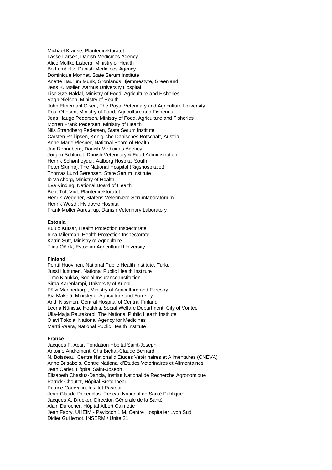Michael Krause, Plantedirektoratet Lasse Larsen, Danish Medicines Agency Alice Moltke Lisberg, Ministry of Health Bo Lumholtz, Danish Medicines Agency Dominique Monnet, State Serum Institute Anette Haurum Munk, Grønlands Hjemmestyre, Greenland Jens K. Møller, Aarhus University Hospital Lise Søe Naldal, Ministry of Food, Agriculture and Fisheries Vagn Nielsen, Ministry of Health John Elmerdahl Olsen, The Royal Veterinary and Agriculture University Poul Ottesen, Ministry of Food, Agriculture and Fisheries Jens Hauge Pedersen, Ministry of Food, Agriculture and Fisheries Morten Frank Pedersen, Ministry of Health Nils Strandberg Pedersen, State Serum Institute Carsten Phillipsen, Königliche Dänisches Botschaft, Austria Anne-Marie Plesner, National Board of Health Jan Renneberg, Danish Medicines Agency Jørgen Schlundt, Danish Veterinary & Food Administration Henrik Schønheyder, Aalborg Hospital South Peter Skinhøj, The National Hospital (Rigshospitalet) Thomas Lund Sørensen, State Serum Institute Ib Valsborg, Ministry of Health Eva Vinding, National Board of Health Bent Toft Viuf, Plantedirektoratet Henrik Wegener, Statens Veterinære Serumlaboratorium Henrik Westh, Hvidovre Hospital Frank Møller Aarestrup, Danish Veterinary Laboratory

#### **Estonia**

Kuulo Kutsar, Health Protection Inspectorate Irina Milerman, Health Protection Inspectorate Katrin Sutt, Ministry of Agriculture Tiina Ööpik, Estonian Agricultural University

#### **Finland**

Pentti Huovinen, National Public Health Institute, Turku Jussi Huttunen, National Public Health Institute Timo Klaukko, Social Insurance Institution Sirpa Kärenlampi, University of Kuopi Päivi Mannerkorpi, Ministry of Agriculture and Forestry Pia Mäkelä, Ministry of Agriculture and Forestry Antti Nissinen, Central Hospital of Central Finland Leena Nünistø, Health & Social Welfare Department, City of Vontee Ulla-Maija Rautakorpi, The National Public Health Institute Olavi Tokola, National Agency for Medicines Martti Vaara, National Public Health Institute

#### **France**

Jacques F. Acar, Fondation Hôpital Saint-Joseph Antoine Andremont, Chu Bichat-Claude Bernard N. Boisseau, Centre National d'Etudes Vétérinaires et Alimentaires (CNEVA) Anne Brisabois, Centre National d'Etudes Vétérinaires et Alimentaines Jean Carlet, Hôpital Saint-Joseph Elisabeth Chaslus-Dancla, Institut National de Recherche Agronomique Patrick Choutet, Hôpital Bretonneau Patrice Courvalin, Institut Pasteur Jean-Claude Desenclos, Reseau National de Santè Publique Jacques A. Drucker, Direction Génerale de la Santé Alain Durocher, Hôpital Albert Calmette Jean Fabry, UHEIM - Paviccon 1 M, Centre Hospitalier Lyon Sud Didier Guillemot, INSERM / Unite 21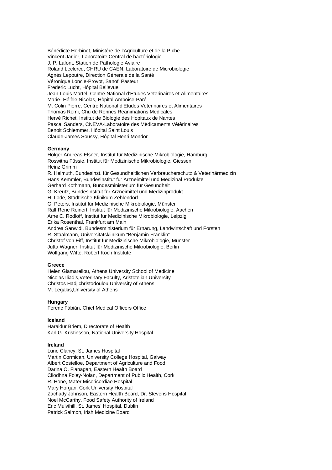Bénédicte Herbinet, Ministére de l'Agriculture et de la PÍche Vincent Jarlier, Laboratoire Central de bactériologie J. P. Lafont, Station de Pathologie Aviaire Roland Leclercq, CHRU de CAEN, Laboratoire de Microbiologie Agnés Lepoutre, Direction Génerale de la Santé Véronique Loncle-Provot, Sanofi Pasteur Frederic Lucht, Hôpital Bellevue Jean-Louis Martel, Centre National d'Etudes Veterinaires et Alimentaires Marie- Hélèle Nicolas, Hôpital Amboise-Paré M. Colin Pierre, Centre National d'Etudes Veterinaires et Alimentaires Thomas Remi, Chu de Rennes Reanimations Médicales Hervé Richet, Institut de Biologie des Hopitaux de Nantes Pascal Sanders, CNEVA-Laboratoire des Mèdicaments Vètèrinaires Benoit Schlemmer, Hôpital Saint Louis Claude-James Soussy, Hôpital Henri Mondor

#### **Germany**

Holger Andreas Elsner, Institut für Medizinische Mikrobiologie, Hamburg Roswitha Füssie, Institut für Medizinische Mikrobiologie, Giessen Heinz Grimm R. Helmuth, Bundesinst. für Gesundheitlichen Verbraucherschutz & Veterinärmedizin Hans Kemmler, Bundesinstitut für Arzneimittel und Medizinal Produkte Gerhard Kothmann, Bundesministerium für Gesundheit G. Kreutz, Bundesinstitut für Arzneimittel und Medizinprodukt H. Lode, Städtlische Klinikum Zehlendorf G. Peters, Institut für Medizinische Mikrobiologie, Münster Ralf Rene Reinert, Institut für Medizinische Mikrobiologie, Aachen Arne C. Rodloff, Institut für Medizinische Mikrobiologie, Leipzig Erika Rosenthal, Frankfurt am Main Andrea Sanwidi, Bundesministerium für Ernärung, Landwirtschaft und Forsten R. Staalmann, Universitätsklinikum "Benjamin Franklin" Christof von Eiff, Institut für Medizinische Mikrobiologie, Münster Jutta Wagner, Institut für Medizinische Mikrobiologie, Berlin Wolfgang Witte, Robert Koch Institute

#### **Greece**

Helen Giamarellou, Athens University School of Medicine Nicolas Iliadis,Veterinary Faculty, Aristotelian University Christos Hadjichristodoulou,University of Athens M. Legakis,University of Athens

#### **Hungary**

Ferenc Fábián, Chief Medical Officers Office

#### **Iceland**

Haraldur Briem, Directorate of Health Karl G. Kristinsson, National University Hospital

#### **Ireland**

Lune Clancy, St. James Hospital Martin Cormican, University College Hospital, Galway Albert Costelloe, Department of Agriculture and Food Darina O. Flanagan, Eastern Health Board Cliodhna Foley-Nolan, Department of Public Health, Cork R. Hone, Mater Misericordiae Hospital Mary Horgan, Cork University Hospital Zachady Johnson, Eastern Health Board, Dr. Stevens Hospital Noel McCarthy, Food Safety Authority of Ireland Eric Mulvihill, St. James' Hospital, Dublin Patrick Salmon, Irish Medicine Board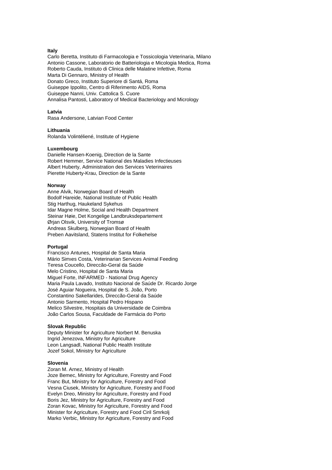#### **Italy**

Carlo Beretta, Instituto di Farmacologia e Tossicologia Veterinaria, Milano Antonio Cassone, Laboratorio de Batteriologia e Micologia Medica, Roma Roberto Cauda, Instituto di Clinica delle Malatine Infettive, Roma Marta Di Gennaro, Ministry of Health Donato Greco, Instituto Superiore di Santá, Roma Guiseppe Ippolito, Centro di Riferimento AIDS, Roma Guiseppe Nanni, Univ. Cattolica S. Cuore Annalisa Pantosti, Laboratory of Medical Bacteriology and Micrology

#### **Latvia**

Rasa Andersone, Latvian Food Center

#### **Lithuania**

Rolanda Volintéliené, Institute of Hygiene

#### **Luxembourg**

Danielle Hansen-Koenig, Direction de la Sante Robert Hemmer, Service National des Maladies Infectieuses Albert Huberty, Administration des Services Veterinaires Pierette Huberty-Krau, Direction de la Sante

#### **Norway**

Anne Alvik, Norwegian Board of Health Bodolf Hareide, National Institute of Public Health Stig Harthug, Haukeland Sykehus Idar Magne Holme, Social and Health Department Steinar Høie, Det Kongelige Landbruksdepartement Ørjan Olsvik, University of Tromsø Andreas Skulberg, Norwegian Board of Health Preben Aavitsland, Statens Institut for Folkehelse

#### **Portugal**

Francisco Antunes, Hospital de Santa Maria Mário Simıes Costa, Veterinarian Services Animal Feeding Teresa Coucello, Direccão-Geral da Saúde Melo Cristino, Hospital de Santa Maria Miguel Forte, INFARMED - National Drug Agency Maria Paula Lavado, Instituto Nacional de Saúde Dr. Ricardo Jorge José Aguiar Nogueira, Hospital de S. João, Porto Constantino Sakellarides, Direccão-Geral da Saúde Antonio Sarmento, Hospital Pedro Hispano Melico Silvestre, Hospitais da Universidade de Coimbra João Carlos Sousa, Faculdade de Farmácia do Porto

#### **Slovak Republic**

Deputy Minister for Agriculture Norbert M. Benuska Ingrid Jenezova, Ministry for Agriculture Leon Langsadl, National Public Health Institute Jozef Sokol, Ministry for Agriculture

#### **Slovenia**

Zoran M. Arnez, Ministry of Health Joze Bemec, Ministry for Agriculture, Forestry and Food Franc But, Ministry for Agriculture, Forestry and Food Vesna Ciusek, Ministry for Agriculture, Forestry and Food Evelyn Dreo, Ministry for Agriculture, Forestry and Food Boris Jez, Ministry for Agriculture, Forestry and Food Zoran Kovac, Ministry for Agriculture, Forestry and Food Minister for Agriculture, Forestry and Food Ciril Smrkolj Marko Verbic, Ministry for Agriculture, Forestry and Food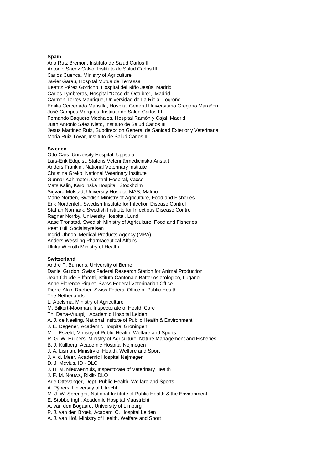#### **Spain**

Ana Ruiz Bremon, Instituto de Salud Carlos III Antonio Saenz Calvo, Instituto de Salud Carlos III Carlos Cuenca, Ministry of Agriculture Javier Garau, Hospital Mutua de Terrassa Beatriz Pérez Gorricho, Hospital del Niño Jesús, Madrid Carlos Lymbreras, Hospital "Doce de Octubre", Madrid Carmen Torres Manrique, Universidad de La Rioja, Logroño Emilia Cercenado Mansilla, Hospital General Universitario Gregorio Marañon José Campos Marqués, Instituto de Salud Carlos III Fernando Baquero Mochales, Hospital Ramón y Cajal, Madrid Juan Antonio Sáez Nieto, Instituto de Salud Carlos III Jesus Martinez Ruiz, Subdireccion General de Sanidad Exterior y Veterinaria Maria Ruiz Tovar, Instituto de Salud Carlos III

#### **Sweden**

Otto Cars, University Hospital, Uppsala Lars-Erik Edquist, Statens Veterinärmedicinska Anstalt Anders Franklin, National Veterinary Institute Christina Greko, National Veterinary Institute Gunnar Kahlmeter, Central Hospital, Växsö Mats Kalin, Karolinska Hospital, Stockholm Sigvard Mölstad, University Hospital MAS, Malmö Marie Nordén, Swedish Ministry of Agriculture, Food and Fisheries Erik Nordenfelt, Swedish Institute for Infection Disease Control Staffan Normark, Swedish Institute for Infectious Disease Control Ragnar Norrby, University Hospital, Lund Aase Tronstad, Swedish Ministry of Agriculture, Food and Fisheries Peet Tüll, Socialstyrelsen Ingrid Uhnoo, Medical Products Agency (MPA) Anders Wessling,Pharmaceutical Affairs Ulrika Winroth,Ministry of Health

#### **Switzerland**

Andre P. Burnens, University of Berne Daniel Guidon, Swiss Federal Research Station for Animal Production Jean-Claude Piffaretti, Istituto Cantonale Batteriosierologico, Lugano Anne Florence Piquet, Swiss Federal Veterinarian Office Pierre-Alain Raeber, Swiss Federal Office of Public Health The Netherlands L. Abelsma, Ministry of Agriculture M. Bilkert-Mooiman, Inspectorate of Health Care Th. Daha-Vuurpijl, Academic Hospital Leiden A. J. de Neeling, National Insitute of Public Health & Environment J. E. Degener, Academic Hospital Groningen M. I. Esveld, Ministry of Public Health, Welfare and Sports R. G. W. Huibers, Ministry of Agriculture, Nature Management and Fisheries B. J. Kullberg, Academic Hospital Nejmegen J. A. Lisman, Ministry of Health, Welfare and Sport J. v. d. Meer, Academic Hospital Nejmegen D. J. Mevius, ID - DLO J. H. M. Nieuwenhuis, Inspectorate of Veterinary Health J. F. M. Nouws, Rikilt- DLO

Arie Ottevanger, Dept. Public Health, Welfare and Sports

A. Pÿpers, University of Utrecht

M. J. W. Sprenger, National Institute of Public Health & the Environment

E. Stobberingh, Academic Hospital Maastricht

A. van den Bogaard, University of Limburg

P. J. van den Broek, Academi C. Hospital Leiden

A. J. van Hof, Ministry of Health, Welfare and Sport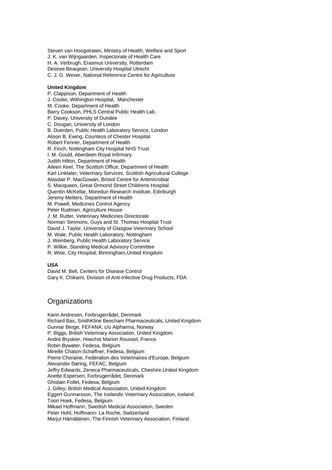Steven van Hoogstraten, Ministry of Health, Welfare and Sport J. K. van Wijngaarden, Inspectorate of Health Care H. A. Verbrugh, Erasmus University, Rotterdam Desiree Beaujean, University Hospital Utrecht C. J. G. Wever, National Reference Centre for Agriculture

#### **United Kingdom**

P. Clappison, Department of Health J. Cooke, Withington Hospital, Manchester M. Cooke, Department of Health Barry Cookson, PHLS Central Public Health Lab. P. Davey, University of Dundee C. Dougan, University of London B. Duerden, Public Health Laboratory Service, London Alison B. Ewing, Countess of Chester Hospital Robert Fenner, Department of Health R. Finch, Nottingham City Hospital NHS Trust I. M. Gould, Aberdeen Royal Infirmary Judith Hilton, Department of Health Aileen Keel, The Scottish Office, Department of Health Karl Linklater, Veterinary Services, Scottish Agricultural College Alasdair P. MacGowan, Bristol Centre for Antimicrobial S. Macqueen, Great Ormond Street Childrens Hospital Quentin McKellar, Moredun Research Institute, Edinburgh Jeremy Metters, Department of Health M. Powell, Medicines Control Agency Peter Rudman, Agriculture House J. M. Rutter, Veterinary Medicines Directorate Norman Simmons, Guys and St. Thomas Hospital Trust David J. Taylor, University of Glasgow Veterinary School M. Wale, Public Health Laboratory, Nottingham J. Weinberg, Public Health Laboratory Service P. Wilkie, Standing Medical Advisory Committee R. Wise, City Hospital, Birmingham,United Kingdom

#### **USA**

David M. Bell, Centers for Disease Control Gary K. Chikami, Division of Anti-Infective Drug Products, FDA

### **Organizations**

Karin Andresen, Forbrugerrådet, Denmark Richard Bax, SmithKline Beecham Pharmaceuticals, United Kingdom Gunnar Berge, FEFANA, c/o Alpharma, Norway P. Biggs, British Veterinary Association, United Kingdom André Bryskier, Hoechst Marion Roussel, France Robin Bywater, Fedesa, Belgium Mireille Chaton-Schaffner, Fedesa, Belgium Pierre Choraine, Federation des Veterinaires d'Europe, Belgium Alexander Døring, FEFAC, Belgium Jeffry Edwards, Zeneca Pharmaceuticals, Cheshire,United Kingdom Anette Espersen, Forbrugerrådet, Denmark Ghislain Follet, Fedesa, Belgium J. Gilley, British Medical Association, United Kingdom Eggert Gunnarsson, The Icelandic Veterinary Association, Iceland Toon Hoek, Fedesa, Belgium Mikael Hoffmann, Swedish Medical Association, Sweden Peter Hohl, Hoffmann- La Roche, Switzerland Marjut Hämäläinen, The Finnish Veterinary Association, Finland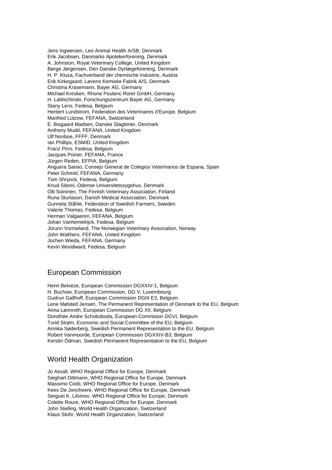Jens Ingwersen, Leo Animal Health A/SB, Denmark Erik Jacobsen, Danmarks Apotekerforening, Denmark A. Johnston, Royal Veterinary College, United Kingdom Børge Jørgensen, Den Danske Dyrlægeforening, Denmark H. P. Kluza, Fachverband der chemische Industrie, Austria Erik Kirkegaard, Løvens Kemiske Fabrik A/S, Denmark Christina Krasemann, Bayer AG, Germany Michael Kresken, Rhone Poulenc Rorer GmbH, Germany H. Lablschinski, Forschungszentrum Bayer AG, Germany Stany Lens, Fedesa, Belgium Herbert Lundstrom, Federation des Veterinaires d'Europe, Belgium Manfred Lützow, FEFANA, Switzerland E. Bisgaard Madsen, Danske Slagterier, Denmark Anthony Mudd, FEFANA, United Kingdom Ulf Nonboe, FFFF, Denmark Ian Phillips, ESMID, United Kingdom Franz Pirro, Fedesa, Belgium Jacques Poirier, FEFANA, France Jürgen Reden, EFPIA, Belgium Anguera Sanso, Consejo General de Colegios Veterinarios de Espana, Spain Peter Schmid, FEFANA, Germany Tom Shryock, Fedesa, Belgium Knud Siboni, Odense Universitetssygehus, Denmark Olli Soininen, The Finnish Veterinary Association, Finland Runa Sturlason, Danish Medical Association, Denmark Gunnela Ståhle, Federation of Swedish Farmers, Sweden Valerie Thomas, Fedesa, Belgium Herman Valgaeren, FEFANA, Belgium Johan Vanhemelrijck, Fedesa, Belgium Jorunn Vormeland, The Norwegian Veterinary Association, Norway John Walthers, FEFANA, United Kingdom Jochen Wieda, FEFANA, Germany Kevin Woodward, Fedesa, Belgium

### European Commission

Henri Belveze, European Commission DGXXIV-1, Belaium H. Buchow, European Commission, DG V, Luxembourg Gudrun Gallhoff, European Commission DGIII E3, Belgium Lene Mølsted Jensen, The Permanent Representation of Denmark to the EU, Belgium Anna Lønnroth, European Commission DG XII, Belgium Dorothée Andre Schoboboda, European Commision DGVI, Belgium Turid Strøm, Economic and Social Committee of the EU, Belgium Annika Søderberg, Swedish Permanent Representation to the EU, Belgium Robert Vanmoorde, European Commission DGXXIV-B3, Belgium Kerstin Ödman, Swedish Permanent Representation to the EU, Belgium

# World Health Organization

Jo Asvall, WHO Regional Office for Europe, Denmark Sieghart Dittmann, WHO Regional Office for Europe, Denmark Massimo Ciotti, WHO Regional Office for Europe, Denmark Kees De Joncheere, WHO Regional Office for Europe, Denmark Serguei K. Litvinov, WHO Regional Office for Europe, Denmark Colette Roure, WHO Regional Office for Europe, Denmark John Stelling, World Health Organization, Switzerland Klaus Stohr, World Health Organization, Switzerland